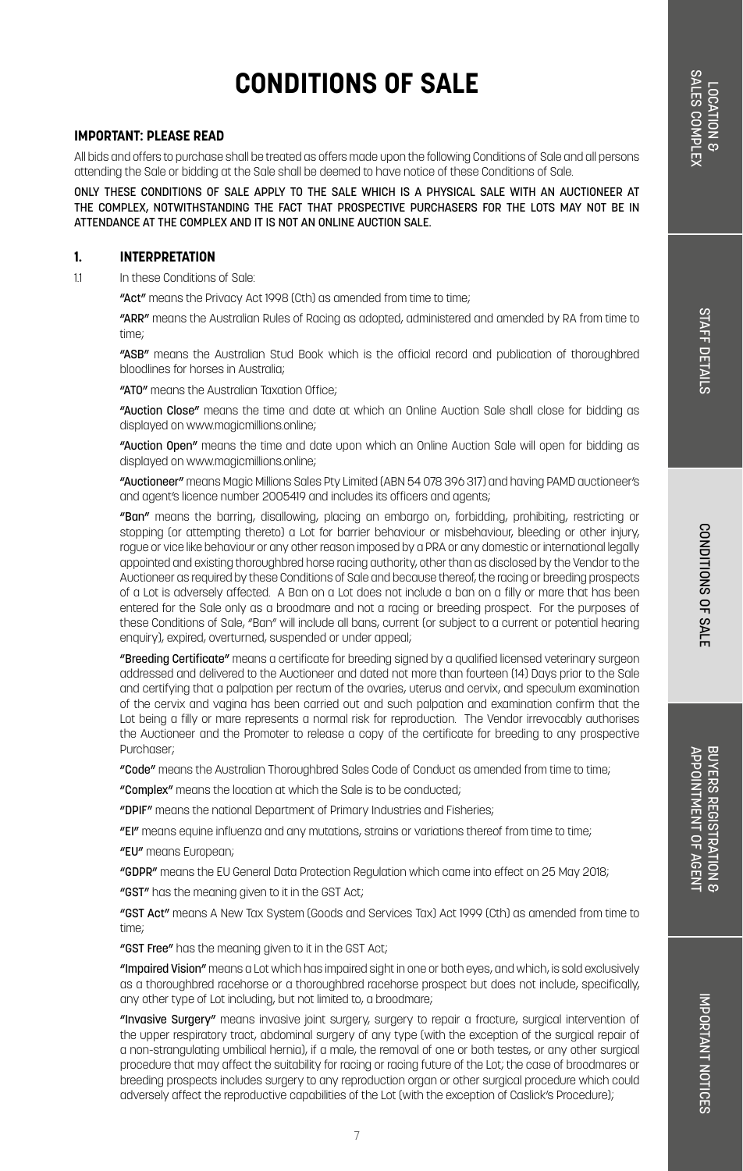#### **IMPORTANT: PLEASE READ**

All bids and offers to purchase shall be treated as offers made upon the following Conditions of Sale and all persons attending the Sale or bidding at the Sale shall be deemed to have notice of these Conditions of Sale.

ONLY THESE CONDITIONS OF SALE APPLY TO THE SALE WHICH IS A PHYSICAL SALE WITH AN AUCTIONEER AT THE COMPLEX, NOTWITHSTANDING THE FACT THAT PROSPECTIVE PURCHASERS FOR THE LOTS MAY NOT BE IN ATTENDANCE AT THE COMPLEX AND IT IS NOT AN ONLINE AUCTION SALE.

#### **1. INTERPRETATION**

1.1 In these Conditions of Sale:

"Act" means the Privacy Act 1998 (Cth) as amended from time to time:

"ARR" means the Australian Rules of Racing as adopted, administered and amended by RA from time to time;

"ASB" means the Australian Stud Book which is the official record and publication of thoroughbred bloodlines for horses in Australia;

"ATO" means the Australian Taxation Office;

"Auction Close" means the time and date at which an Online Auction Sale shall close for bidding as displayed on www.magicmillions.online;

"Auction Open" means the time and date upon which an Online Auction Sale will open for bidding as displayed on www.magicmillions.online;

"Auctioneer" means Magic Millions Sales Pty Limited (ABN 54 078 396 317) and having PAMD auctioneer's and agent's licence number 2005419 and includes its officers and agents;

"Ban" means the barring, disallowing, placing an embargo on, forbidding, prohibiting, restricting or stopping (or attempting thereto) a Lot for barrier behaviour or misbehaviour, bleeding or other injury, rogue or vice like behaviour or any other reason imposed by a PRA or any domestic or international legally appointed and existing thoroughbred horse racing authority, other than as disclosed by the Vendor to the Auctioneer as required by these Conditions of Sale and because thereof, the racing or breeding prospects of a Lot is adversely affected. A Ban on a Lot does not include a ban on a filly or mare that has been entered for the Sale only as a broodmare and not a racing or breeding prospect. For the purposes of these Conditions of Sale, "Ban" will include all bans, current (or subject to a current or potential hearing enquiry), expired, overturned, suspended or under appeal;

"Breeding Certificate" means a certificate for breeding signed by a qualified licensed veterinary surgeon addressed and delivered to the Auctioneer and dated not more than fourteen (14) Days prior to the Sale and certifying that a palpation per rectum of the ovaries, uterus and cervix, and speculum examination of the cervix and vagina has been carried out and such palpation and examination confirm that the Lot being a filly or mare represents a normal risk for reproduction. The Vendor irrevocably authorises the Auctioneer and the Promoter to release a copy of the certificate for breeding to any prospective Purchaser;

"Code" means the Australian Thoroughbred Sales Code of Conduct as amended from time to time;

"Complex" means the location at which the Sale is to be conducted;

"DPIF" means the national Department of Primary Industries and Fisheries;

"EI" means equine influenza and any mutations, strains or variations thereof from time to time;

"EU" means European;

"GDPR" means the EU General Data Protection Regulation which came into effect on 25 May 2018;

"GST" has the meaning given to it in the GST Act;

"GST Act" means A New Tax System (Goods and Services Tax) Act 1999 (Cth) as amended from time to time;

"GST Free" has the meaning given to it in the GST Act;

"Impaired Vision" means a Lot which has impaired sight in one or both eyes, and which, is sold exclusively as a thoroughbred racehorse or a thoroughbred racehorse prospect but does not include, specifically, any other type of Lot including, but not limited to, a broodmare;

"Invasive Surgery" means invasive joint surgery, surgery to repair a fracture, surgical intervention of the upper respiratory tract, abdominal surgery of any type (with the exception of the surgical repair of a non-strangulating umbilical hernia), if a male, the removal of one or both testes, or any other surgical procedure that may affect the suitability for racing or racing future of the Lot; the case of broodmares or breeding prospects includes surgery to any reproduction organ or other surgical procedure which could adversely affect the reproductive capabilities of the Lot (with the exception of Caslick's Procedure);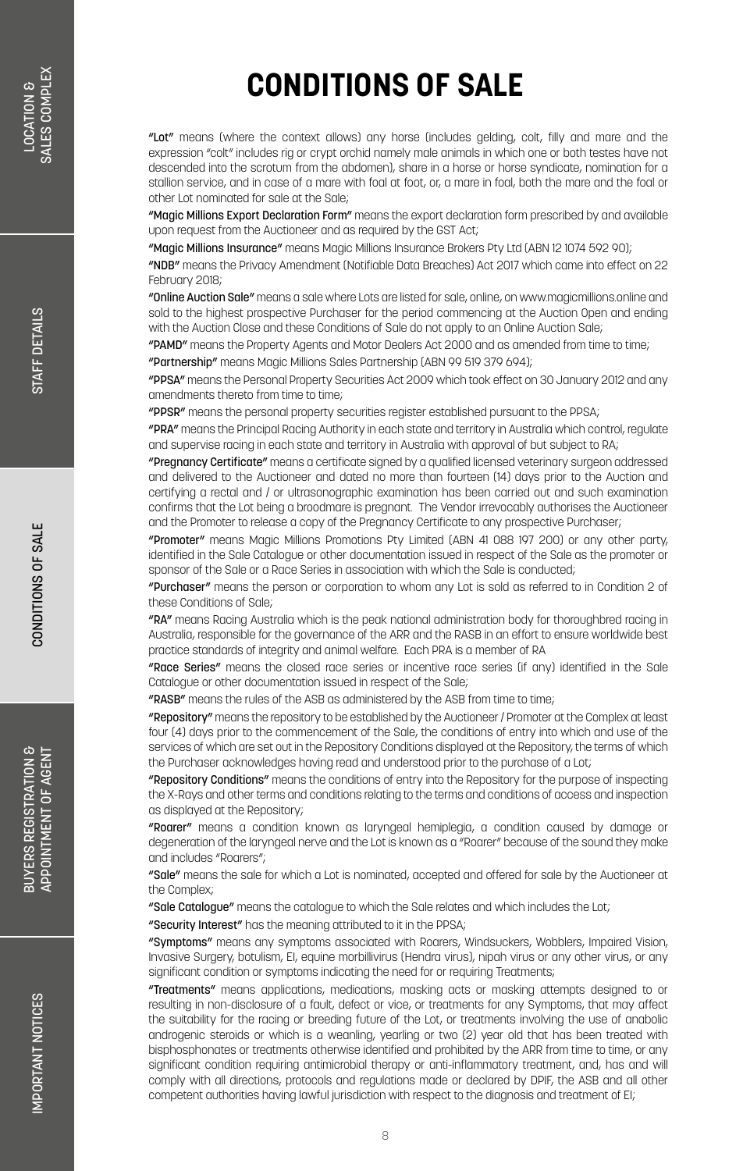"Lot" means (where the context allows) any horse (includes gelding, colt, filly and mare and the expression "colt" includes rig or crypt orchid namely male animals in which one or both testes have not descended into the scrotum from the abdomen), share in a horse or horse syndicate, nomination for a stallion service, and in case of a mare with foal at foot, or, a mare in foal, both the mare and the foal or other Lot nominated for sale at the Sale;

"Magic Millions Export Declaration Form" means the export declaration form prescribed by and available upon request from the Auctioneer and as required by the GST Act;

"Magic Millions Insurance" means Magic Millions Insurance Brokers Pty Ltd (ABN 12 1074 592 90);

"NDB" means the Privacy Amendment (Notifiable Data Breaches) Act 2017 which came into effect on 22 February 2018;

"Online Auction Sale" means a sale where Lots are listed for sale, online, on www.magicmillions.online and sold to the highest prospective Purchaser for the period commencing at the Auction Open and ending with the Auction Close and these Conditions of Sale do not apply to an Online Auction Sale;

"PAMD" means the Property Agents and Motor Dealers Act 2000 and as amended from time to time; "Partnership" means Magic Millions Sales Partnership (ABN 99 519 379 694);

"PPSA" means the Personal Property Securities Act 2009 which took effect on 30 January 2012 and any amendments thereto from time to time;

"PPSR" means the personal property securities register established pursuant to the PPSA;

"PRA" means the Principal Racing Authority in each state and territory in Australia which control, regulate and supervise racing in each state and territory in Australia with approval of but subject to RA;

"Pregnancy Certificate" means a certificate signed by a qualified licensed veterinary surgeon addressed and delivered to the Auctioneer and dated no more than fourteen (14) days prior to the Auction and certifying a rectal and / or ultrasonographic examination has been carried out and such examination confirms that the Lot being a broodmare is pregnant. The Vendor irrevocably authorises the Auctioneer and the Promoter to release a copy of the Pregnancy Certificate to any prospective Purchaser;

"Promoter" means Magic Millions Promotions Pty Limited (ABN 41 088 197 200) or any other party, identified in the Sale Catalogue or other documentation issued in respect of the Sale as the promoter or sponsor of the Sale or a Race Series in association with which the Sale is conducted;

"Purchaser" means the person or corporation to whom any Lot is sold as referred to in Condition 2 of these Conditions of Sale;

"RA" means Racing Australia which is the peak national administration body for thoroughbred racing in Australia, responsible for the governance of the ARR and the RASB in an effort to ensure worldwide best practice standards of integrity and animal welfare. Each PRA is a member of RA

"Race Series" means the closed race series or incentive race series (if any) identified in the Sale Catalogue or other documentation issued in respect of the Sale;

"RASB" means the rules of the ASB as administered by the ASB from time to time;

"Repository" means the repository to be established by the Auctioneer / Promoter at the Complex at least four (4) days prior to the commencement of the Sale, the conditions of entry into which and use of the services of which are set out in the Repository Conditions displayed at the Repository, the terms of which the Purchaser acknowledges having read and understood prior to the purchase of a Lot;

"Repository Conditions" means the conditions of entry into the Repository for the purpose of inspecting the X-Rays and other terms and conditions relating to the terms and conditions of access and inspection as displayed at the Repository;

"Roarer" means a condition known as laryngeal hemiplegia, a condition caused by damage or degeneration of the laryngeal nerve and the Lot is known as a "Roarer" because of the sound they make and includes "Roarers";

"Sale" means the sale for which a Lot is nominated, accepted and offered for sale by the Auctioneer at the Complex;

"Sale Catalogue" means the catalogue to which the Sale relates and which includes the Lot;

"Security Interest" has the meaning attributed to it in the PPSA;

"Symptoms" means any symptoms associated with Roarers, Windsuckers, Wobblers, Impaired Vision, Invasive Surgery, botulism, EI, equine morbillivirus (Hendra virus), nipah virus or any other virus, or any significant condition or symptoms indicating the need for or requiring Treatments;

"Treatments" means applications, medications, masking acts or masking attempts designed to or resulting in non-disclosure of a fault, defect or vice, or treatments for any Symptoms, that may affect the suitability for the racing or breeding future of the Lot, or treatments involving the use of anabolic androgenic steroids or which is a weanling, yearling or two (2) year old that has been treated with bisphosphonates or treatments otherwise identified and prohibited by the ARR from time to time, or any significant condition requiring antimicrobial therapy or anti-inflammatory treatment, and, has and will comply with all directions, protocols and regulations made or declared by DPIF, the ASB and all other competent authorities having lawful jurisdiction with respect to the diagnosis and treatment of EI;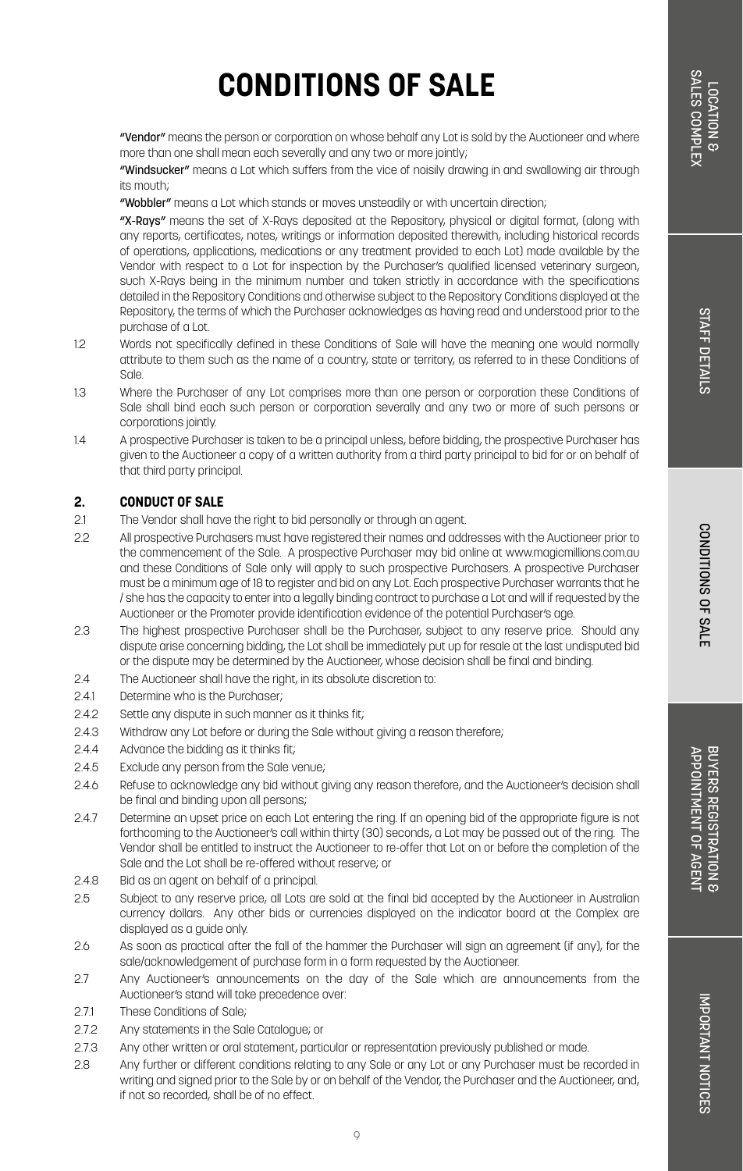"Vendor" means the person or corporation on whose behalf any Lot is sold by the Auctioneer and where more than one shall mean each severally and any two or more jointly;

"Windsucker" means a Lot which suffers from the vice of noisily drawing in and swallowing air through its mouth;

"Wobbler" means a Lot which stands or moves unsteadily or with uncertain direction;

"X-Rays" means the set of X-Rays deposited at the Repository, physical or digital format, (along with any reports, certificates, notes, writings or information deposited therewith, including historical records of operations, applications, medications or any treatment provided to each Lot) made available by the Vendor with respect to a Lot for inspection by the Purchaser's qualified licensed veterinary surgeon, such X-Rays being in the minimum number and taken strictly in accordance with the specifications detailed in the Repository Conditions and otherwise subject to the Repository Conditions displayed at the Repository, the terms of which the Purchaser acknowledges as having read and understood prior to the purchase of a Lot.

- 1.2 Words not specifically defined in these Conditions of Sale will have the meaning one would normally attribute to them such as the name of a country, state or territory, as referred to in these Conditions of Sale.
- 1.3 Where the Purchaser of any Lot comprises more than one person or corporation these Conditions of Sale shall bind each such person or corporation severally and any two or more of such persons or corporations jointly.
- 1.4 A prospective Purchaser is taken to be a principal unless, before bidding, the prospective Purchaser has given to the Auctioneer a copy of a written authority from a third party principal to bid for or on behalf of that third party principal.

#### **2. CONDUCT OF SALE**

- 2.1 The Vendor shall have the right to bid personally or through an agent.
- 2.2 All prospective Purchasers must have registered their names and addresses with the Auctioneer prior to the commencement of the Sale. A prospective Purchaser may bid online at www.magicmillions.com.au and these Conditions of Sale only will apply to such prospective Purchasers. A prospective Purchaser must be a minimum age of 18 to register and bid on any Lot. Each prospective Purchaser warrants that he / she has the capacity to enter into a legally binding contract to purchase a Lot and will if requested by the Auctioneer or the Promoter provide identification evidence of the potential Purchaser's age.
- 2.3 The highest prospective Purchaser shall be the Purchaser, subject to any reserve price. Should any dispute arise concerning bidding, the Lot shall be immediately put up for resale at the last undisputed bid or the dispute may be determined by the Auctioneer, whose decision shall be final and binding.
- 2.4 The Auctioneer shall have the right, in its absolute discretion to:
- 2.41 Determine who is the Purchaser;
- 2.4.2 Settle any dispute in such manner as it thinks fit;
- 2.4.3 Withdraw any Lot before or during the Sale without giving a reason therefore;
- 2.4.4 Advance the bidding as it thinks fit;
- 2.4.5 Exclude any person from the Sale venue;
- 2.4.6 Refuse to acknowledge any bid without giving any reason therefore, and the Auctioneer's decision shall be final and binding upon all persons;
- 2.4.7 Determine an upset price on each Lot entering the ring. If an opening bid of the appropriate figure is not forthcoming to the Auctioneer's call within thirty (30) seconds, a Lot may be passed out of the ring. The Vendor shall be entitled to instruct the Auctioneer to re-offer that Lot on or before the completion of the Sale and the Lot shall be re-offered without reserve; or
- 2.4.8 Bid as an agent on behalf of a principal.
- 2.5 Subject to any reserve price, all Lots are sold at the final bid accepted by the Auctioneer in Australian currency dollars. Any other bids or currencies displayed on the indicator board at the Complex are displayed as a guide only.
- 2.6 As soon as practical after the fall of the hammer the Purchaser will sign an agreement (if any), for the sale/acknowledgement of purchase form in a form requested by the Auctioneer.
- 2.7 Any Auctioneer's announcements on the day of the Sale which are announcements from the Auctioneer's stand will take precedence over:
- 2.71 These Conditions of Sale:
- 2.7.2 Any statements in the Sale Catalogue; or
- 2.7.3 Any other written or oral statement, particular or representation previously published or made.
- 2.8 Any further or different conditions relating to any Sale or any Lot or any Purchaser must be recorded in writing and signed prior to the Sale by or on behalf of the Vendor, the Purchaser and the Auctioneer, and, if not so recorded, shall be of no effect.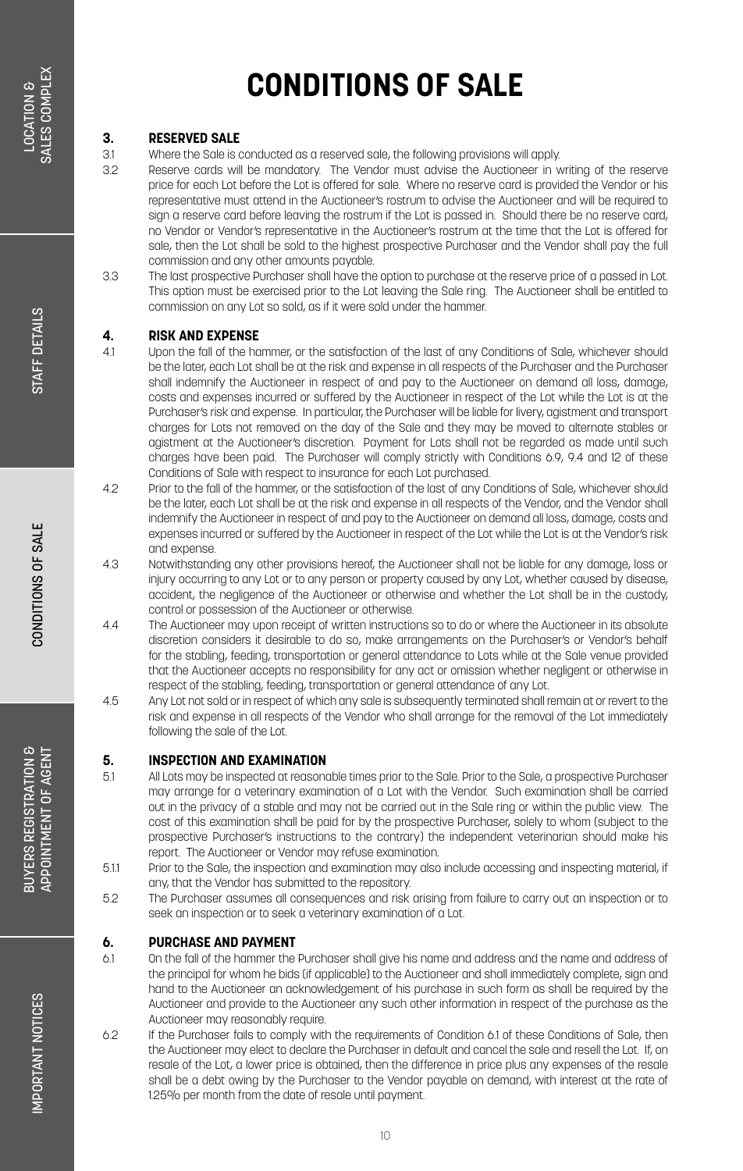### **3. RESERVED SALE**

- 3.1 Where the Sale is conducted as a reserved sale, the following provisions will apply.
	- Reserve cards will be mandatory. The Vendor must advise the Auctioneer in writing of the reserve price for each Lot before the Lot is offered for sale. Where no reserve card is provided the Vendor or his representative must attend in the Auctioneer's rostrum to advise the Auctioneer and will be required to sign a reserve card before leaving the rostrum if the Lot is passed in. Should there be no reserve card, no Vendor or Vendor's representative in the Auctioneer's rostrum at the time that the Lot is offered for sale, then the Lot shall be sold to the highest prospective Purchaser and the Vendor shall pay the full commission and any other amounts payable.
- 3.3 The last prospective Purchaser shall have the option to purchase at the reserve price of a passed in Lot. This option must be exercised prior to the Lot leaving the Sale ring. The Auctioneer shall be entitled to commission on any Lot so sold, as if it were sold under the hammer.

### **4. RISK AND EXPENSE**<br>41 **Linon the foll of the bo**

- 4.1 Upon the fall of the hammer, or the satisfaction of the last of any Conditions of Sale, whichever should be the later, each Lot shall be at the risk and expense in all respects of the Purchaser and the Purchaser shall indemnify the Auctioneer in respect of and pay to the Auctioneer on demand all loss, damage, costs and expenses incurred or suffered by the Auctioneer in respect of the Lot while the Lot is at the Purchaser's risk and expense. In particular, the Purchaser will be liable for livery, agistment and transport charges for Lots not removed on the day of the Sale and they may be moved to alternate stables or agistment at the Auctioneer's discretion. Payment for Lots shall not be regarded as made until such charges have been paid. The Purchaser will comply strictly with Conditions 6.9, 9.4 and 12 of these Conditions of Sale with respect to insurance for each Lot purchased.
- 4.2 Prior to the fall of the hammer, or the satisfaction of the last of any Conditions of Sale, whichever should be the later, each Lot shall be at the risk and expense in all respects of the Vendor, and the Vendor shall indemnify the Auctioneer in respect of and pay to the Auctioneer on demand all loss, damage, costs and expenses incurred or suffered by the Auctioneer in respect of the Lot while the Lot is at the Vendor's risk and expense.
- 4.3 Notwithstanding any other provisions hereof, the Auctioneer shall not be liable for any damage, loss or injury occurring to any Lot or to any person or property caused by any Lot, whether caused by disease, accident, the negligence of the Auctioneer or otherwise and whether the Lot shall be in the custody, control or possession of the Auctioneer or otherwise.
- 4.4 The Auctioneer may upon receipt of written instructions so to do or where the Auctioneer in its absolute discretion considers it desirable to do so, make arrangements on the Purchaser's or Vendor's behalf for the stabling, feeding, transportation or general attendance to Lots while at the Sale venue provided that the Auctioneer accepts no responsibility for any act or omission whether negligent or otherwise in respect of the stabling, feeding, transportation or general attendance of any Lot.
- 4.5 Any Lot not sold or in respect of which any sale is subsequently terminated shall remain at or revert to the risk and expense in all respects of the Vendor who shall arrange for the removal of the Lot immediately following the sale of the Lot.

### **5. INSPECTION AND EXAMINATION**<br>51 All ots may be inspected at reason

- All Lots may be inspected at reasonable times prior to the Sale. Prior to the Sale, a prospective Purchaser may arrange for a veterinary examination of a Lot with the Vendor. Such examination shall be carried out in the privacy of a stable and may not be carried out in the Sale ring or within the public view. The cost of this examination shall be paid for by the prospective Purchaser, solely to whom (subject to the prospective Purchaser's instructions to the contrary) the independent veterinarian should make his report. The Auctioneer or Vendor may refuse examination.
- 5.1.1 Prior to the Sale, the inspection and examination may also include accessing and inspecting material, if any, that the Vendor has submitted to the repository.
- 5.2 The Purchaser assumes all consequences and risk arising from failure to carry out an inspection or to seek an inspection or to seek a veterinary examination of a Lot.

### **6. PURCHASE AND PAYMENT**<br>61 On the foll of the hommer the

- 6.1 On the fall of the hammer the Purchaser shall give his name and address and the name and address of the principal for whom he bids (if applicable) to the Auctioneer and shall immediately complete, sign and hand to the Auctioneer an acknowledgement of his purchase in such form as shall be required by the Auctioneer and provide to the Auctioneer any such other information in respect of the purchase as the Auctioneer may reasonably require.
- 6.2 If the Purchaser fails to comply with the requirements of Condition 6.1 of these Conditions of Sale, then the Auctioneer may elect to declare the Purchaser in default and cancel the sale and resell the Lot. If, on resale of the Lot, a lower price is obtained, then the difference in price plus any expenses of the resale shall be a debt owing by the Purchaser to the Vendor payable on demand, with interest at the rate of 1.25% per month from the date of resale until payment.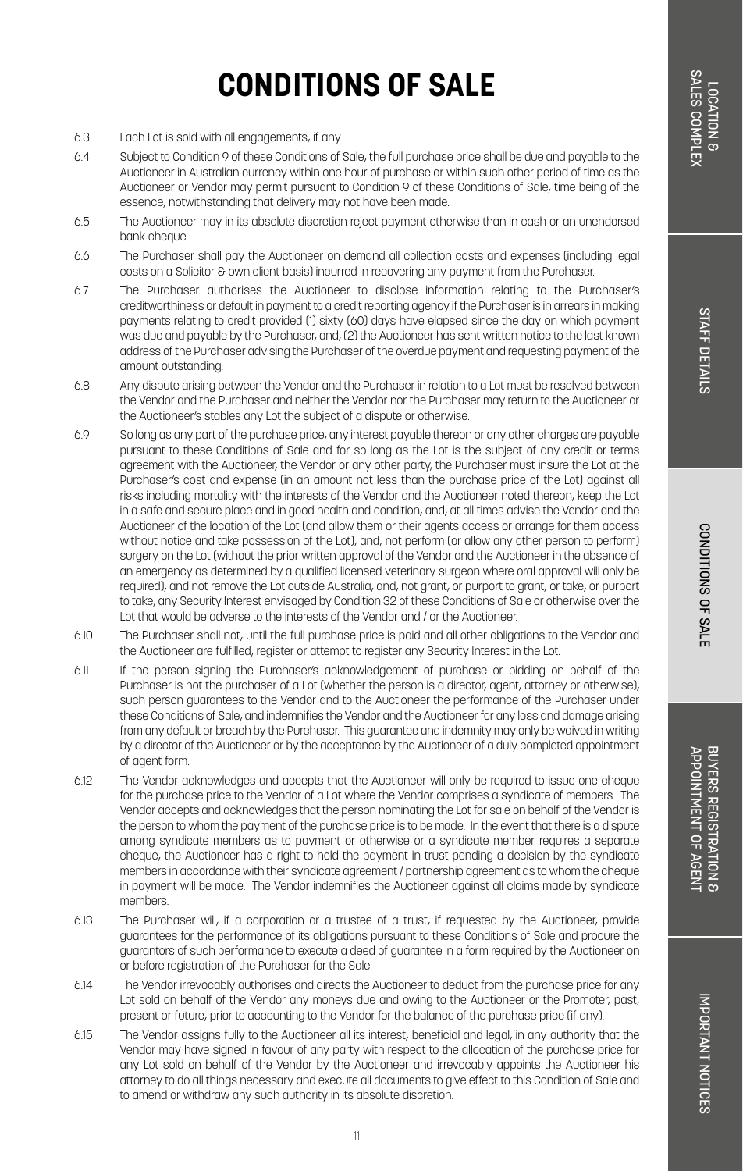CONDITIONS OF SALE

- 6.3 Each Lot is sold with all engagements, if any.
- 6.4 Subject to Condition 9 of these Conditions of Sale, the full purchase price shall be due and payable to the Auctioneer in Australian currency within one hour of purchase or within such other period of time as the Auctioneer or Vendor may permit pursuant to Condition 9 of these Conditions of Sale, time being of the essence, notwithstanding that delivery may not have been made.
- 6.5 The Auctioneer may in its absolute discretion reject payment otherwise than in cash or an unendorsed bank cheque.
- 6.6 The Purchaser shall pay the Auctioneer on demand all collection costs and expenses (including legal costs on a Solicitor & own client basis) incurred in recovering any payment from the Purchaser.
- 6.7 The Purchaser authorises the Auctioneer to disclose information relating to the Purchaser's creditworthiness or default in payment to a credit reporting agency if the Purchaser is in arrears in making payments relating to credit provided (1) sixty (60) days have elapsed since the day on which payment was due and payable by the Purchaser, and, (2) the Auctioneer has sent written notice to the last known address of the Purchaser advising the Purchaser of the overdue payment and requesting payment of the amount outstanding.
- 6.8 Any dispute arising between the Vendor and the Purchaser in relation to a Lot must be resolved between the Vendor and the Purchaser and neither the Vendor nor the Purchaser may return to the Auctioneer or the Auctioneer's stables any Lot the subject of a dispute or otherwise.
- 6.9 So long as any part of the purchase price, any interest payable thereon or any other charges are payable pursuant to these Conditions of Sale and for so long as the Lot is the subject of any credit or terms agreement with the Auctioneer, the Vendor or any other party, the Purchaser must insure the Lot at the Purchaser's cost and expense (in an amount not less than the purchase price of the Lot) against all risks including mortality with the interests of the Vendor and the Auctioneer noted thereon, keep the Lot in a safe and secure place and in good health and condition, and, at all times advise the Vendor and the Auctioneer of the location of the Lot (and allow them or their agents access or arrange for them access without notice and take possession of the Lot), and, not perform (or allow any other person to perform) surgery on the Lot (without the prior written approval of the Vendor and the Auctioneer in the absence of an emergency as determined by a qualified licensed veterinary surgeon where oral approval will only be required), and not remove the Lot outside Australia, and, not grant, or purport to grant, or take, or purport to take, any Security Interest envisaged by Condition 32 of these Conditions of Sale or otherwise over the Lot that would be adverse to the interests of the Vendor and / or the Auctioneer.
- 6.10 The Purchaser shall not, until the full purchase price is paid and all other obligations to the Vendor and the Auctioneer are fulfilled, register or attempt to register any Security Interest in the Lot.
- 6.11 If the person signing the Purchaser's acknowledgement of purchase or bidding on behalf of the Purchaser is not the purchaser of a Lot (whether the person is a director, agent, attorney or otherwise), such person guarantees to the Vendor and to the Auctioneer the performance of the Purchaser under these Conditions of Sale, and indemnifies the Vendor and the Auctioneer for any loss and damage arising from any default or breach by the Purchaser. This guarantee and indemnity may only be waived in writing by a director of the Auctioneer or by the acceptance by the Auctioneer of a duly completed appointment of agent form.
- 6.12 The Vendor acknowledges and accepts that the Auctioneer will only be required to issue one cheque for the purchase price to the Vendor of a Lot where the Vendor comprises a syndicate of members. The Vendor accepts and acknowledges that the person nominating the Lot for sale on behalf of the Vendor is the person to whom the payment of the purchase price is to be made. In the event that there is a dispute among syndicate members as to payment or otherwise or a syndicate member requires a separate cheque, the Auctioneer has a right to hold the payment in trust pending a decision by the syndicate members in accordance with their syndicate agreement / partnership agreement as to whom the cheque in payment will be made. The Vendor indemnifies the Auctioneer against all claims made by syndicate members.
- 6.13 The Purchaser will, if a corporation or a trustee of a trust, if requested by the Auctioneer, provide guarantees for the performance of its obligations pursuant to these Conditions of Sale and procure the guarantors of such performance to execute a deed of guarantee in a form required by the Auctioneer on or before registration of the Purchaser for the Sale.
- 6.14 The Vendor irrevocably authorises and directs the Auctioneer to deduct from the purchase price for any Lot sold on behalf of the Vendor any moneys due and owing to the Auctioneer or the Promoter, past, present or future, prior to accounting to the Vendor for the balance of the purchase price (if any).
- 6.15 The Vendor assigns fully to the Auctioneer all its interest, beneficial and legal, in any authority that the Vendor may have signed in favour of any party with respect to the allocation of the purchase price for any Lot sold on behalf of the Vendor by the Auctioneer and irrevocably appoints the Auctioneer his attorney to do all things necessary and execute all documents to give effect to this Condition of Sale and to amend or withdraw any such authority in its absolute discretion.

BUYERS REGISTRATION & APPOINTMENT OF AGENT BUYERS REGISTRATION & APPOINTMENT OF AGENT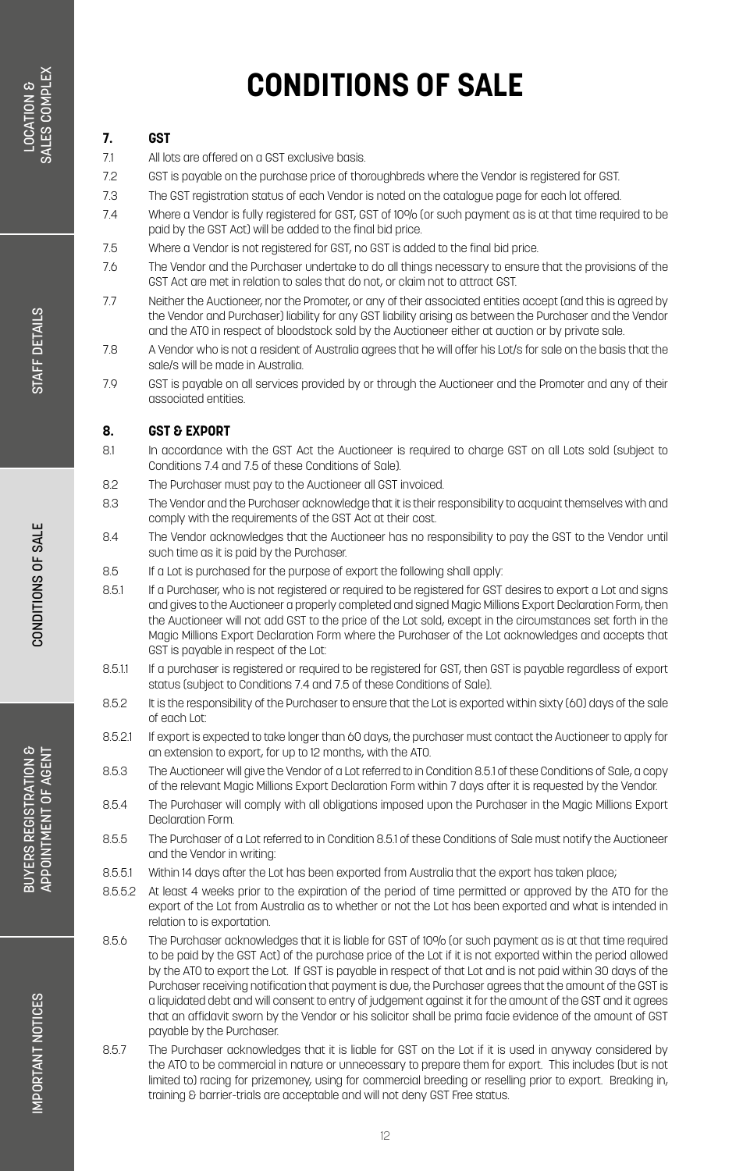### **7. GST**

7.1 All lots are offered on a GST exclusive basis.

- 7.2 GST is payable on the purchase price of thoroughbreds where the Vendor is registered for GST.
- 7.3 The GST registration status of each Vendor is noted on the catalogue page for each lot offered.
- 7.4 Where a Vendor is fully registered for GST, GST of 10% (or such payment as is at that time required to be paid by the GST Act) will be added to the final bid price.
- 7.5 Where a Vendor is not registered for GST, no GST is added to the final bid price.
- 7.6 The Vendor and the Purchaser undertake to do all things necessary to ensure that the provisions of the GST Act are met in relation to sales that do not, or claim not to attract GST.
- 7.7 Neither the Auctioneer, nor the Promoter, or any of their associated entities accept (and this is agreed by the Vendor and Purchaser) liability for any GST liability arising as between the Purchaser and the Vendor and the ATO in respect of bloodstock sold by the Auctioneer either at auction or by private sale.
- 7.8 A Vendor who is not a resident of Australia agrees that he will offer his Lot/s for sale on the basis that the sale/s will be made in Australia.
- 7.9 GST is payable on all services provided by or through the Auctioneer and the Promoter and any of their associated entities.

#### **8. GST & EXPORT**

- 8.1 In accordance with the GST Act the Auctioneer is required to charge GST on all Lots sold (subject to Conditions 7.4 and 7.5 of these Conditions of Sale).
- 8.2 The Purchaser must pay to the Auctioneer all GST invoiced.
- 8.3 The Vendor and the Purchaser acknowledge that it is their responsibility to acquaint themselves with and comply with the requirements of the GST Act at their cost.
- 8.4 The Vendor acknowledges that the Auctioneer has no responsibility to pay the GST to the Vendor until such time as it is paid by the Purchaser.
- 8.5 If a Lot is purchased for the purpose of export the following shall apply:
- 8.5.1 If a Purchaser, who is not registered or required to be registered for GST desires to export a Lot and signs and gives to the Auctioneer a properly completed and signed Magic Millions Export Declaration Form, then the Auctioneer will not add GST to the price of the Lot sold, except in the circumstances set forth in the Magic Millions Export Declaration Form where the Purchaser of the Lot acknowledges and accepts that GST is payable in respect of the Lot:
- 8.5.1.1 If a purchaser is registered or required to be registered for GST, then GST is payable regardless of export status (subject to Conditions 7.4 and 7.5 of these Conditions of Sale).
- 8.5.2 It is the responsibility of the Purchaser to ensure that the Lot is exported within sixty (60) days of the sale of each Lot:
- 8.5.2.1 If export is expected to take longer than 60 days, the purchaser must contact the Auctioneer to apply for an extension to export, for up to 12 months, with the ATO.
- 8.5.3 The Auctioneer will give the Vendor of a Lot referred to in Condition 8.5.1 of these Conditions of Sale, a copy of the relevant Magic Millions Export Declaration Form within 7 days after it is requested by the Vendor.
- 8.5.4 The Purchaser will comply with all obligations imposed upon the Purchaser in the Magic Millions Export Declaration Form.
- 8.5.5 The Purchaser of a Lot referred to in Condition 8.5.1 of these Conditions of Sale must notify the Auctioneer and the Vendor in writing:
- 8.5.5.1 Within 14 days after the Lot has been exported from Australia that the export has taken place;
- 8.5.5.2 At least 4 weeks prior to the expiration of the period of time permitted or approved by the ATO for the export of the Lot from Australia as to whether or not the Lot has been exported and what is intended in relation to is exportation.
- 8.5.6 The Purchaser acknowledges that it is liable for GST of 10% (or such payment as is at that time required to be paid by the GST Act) of the purchase price of the Lot if it is not exported within the period allowed by the ATO to export the Lot. If GST is payable in respect of that Lot and is not paid within 30 days of the Purchaser receiving notification that payment is due, the Purchaser agrees that the amount of the GST is a liquidated debt and will consent to entry of judgement against it for the amount of the GST and it agrees that an affidavit sworn by the Vendor or his solicitor shall be prima facie evidence of the amount of GST payable by the Purchaser.
- 8.5.7 The Purchaser acknowledges that it is liable for GST on the Lot if it is used in anyway considered by the ATO to be commercial in nature or unnecessary to prepare them for export. This includes (but is not limited to) racing for prizemoney, using for commercial breeding or reselling prior to export. Breaking in, training & barrier-trials are acceptable and will not deny GST Free status.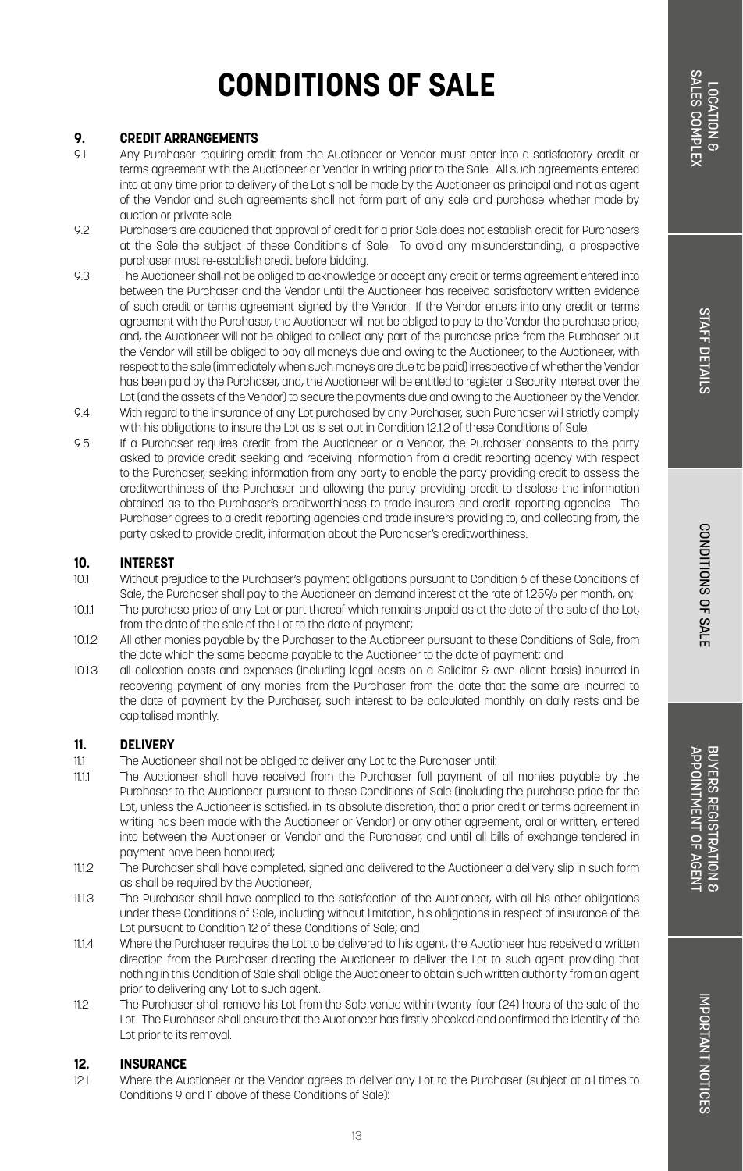# **STAFF DETAILS** STAFF DETAILS

## **CONDITIONS OF SALE**

### **9. CREDIT ARRANGEMENTS**

- Any Purchaser requiring credit from the Auctioneer or Vendor must enter into a satisfactory credit or terms agreement with the Auctioneer or Vendor in writing prior to the Sale. All such agreements entered into at any time prior to delivery of the Lot shall be made by the Auctioneer as principal and not as agent of the Vendor and such agreements shall not form part of any sale and purchase whether made by auction or private sale.
- 9.2 Purchasers are cautioned that approval of credit for a prior Sale does not establish credit for Purchasers at the Sale the subject of these Conditions of Sale. To avoid any misunderstanding, a prospective purchaser must re-establish credit before bidding.
- 9.3 The Auctioneer shall not be obliged to acknowledge or accept any credit or terms agreement entered into between the Purchaser and the Vendor until the Auctioneer has received satisfactory written evidence of such credit or terms agreement signed by the Vendor. If the Vendor enters into any credit or terms agreement with the Purchaser, the Auctioneer will not be obliged to pay to the Vendor the purchase price, and, the Auctioneer will not be obliged to collect any part of the purchase price from the Purchaser but the Vendor will still be obliged to pay all moneys due and owing to the Auctioneer, to the Auctioneer, with respect to the sale (immediately when such moneys are due to be paid) irrespective of whether the Vendor has been paid by the Purchaser, and, the Auctioneer will be entitled to register a Security Interest over the Lot (and the assets of the Vendor) to secure the payments due and owing to the Auctioneer by the Vendor.
- 9.4 With regard to the insurance of any Lot purchased by any Purchaser, such Purchaser will strictly comply with his obligations to insure the Lot as is set out in Condition 12.1.2 of these Conditions of Sale.
- 9.5 If a Purchaser requires credit from the Auctioneer or a Vendor, the Purchaser consents to the party asked to provide credit seeking and receiving information from a credit reporting agency with respect to the Purchaser, seeking information from any party to enable the party providing credit to assess the creditworthiness of the Purchaser and allowing the party providing credit to disclose the information obtained as to the Purchaser's creditworthiness to trade insurers and credit reporting agencies. The Purchaser agrees to a credit reporting agencies and trade insurers providing to, and collecting from, the party asked to provide credit, information about the Purchaser's creditworthiness.

### **10. INTEREST**

- 10.1 Without prejudice to the Purchaser's payment obligations pursuant to Condition 6 of these Conditions of Sale, the Purchaser shall pay to the Auctioneer on demand interest at the rate of 125% per month, on;
- 10.1.1 The purchase price of any Lot or part thereof which remains unpaid as at the date of the sale of the Lot, from the date of the sale of the Lot to the date of payment;
- 10.1.2 All other monies payable by the Purchaser to the Auctioneer pursuant to these Conditions of Sale, from the date which the same become payable to the Auctioneer to the date of payment; and
- 10.1.3 all collection costs and expenses (including legal costs on a Solicitor & own client basis) incurred in recovering payment of any monies from the Purchaser from the date that the same are incurred to the date of payment by the Purchaser, such interest to be calculated monthly on daily rests and be capitalised monthly.

#### **11. DELIVERY**

- 11.1 The Auctioneer shall not be obliged to deliver any Lot to the Purchaser until:
- 11.1.1 The Auctioneer shall have received from the Purchaser full payment of all monies payable by the Purchaser to the Auctioneer pursuant to these Conditions of Sale (including the purchase price for the Lot, unless the Auctioneer is satisfied, in its absolute discretion, that a prior credit or terms agreement in writing has been made with the Auctioneer or Vendor) or any other agreement, oral or written, entered into between the Auctioneer or Vendor and the Purchaser, and until all bills of exchange tendered in payment have been honoured;
- 11.1.2 The Purchaser shall have completed, signed and delivered to the Auctioneer a delivery slip in such form as shall be required by the Auctioneer;
- 11.1.3 The Purchaser shall have complied to the satisfaction of the Auctioneer, with all his other obligations under these Conditions of Sale, including without limitation, his obligations in respect of insurance of the Lot pursuant to Condition 12 of these Conditions of Sale; and
- 11.1.4 Where the Purchaser requires the Lot to be delivered to his agent, the Auctioneer has received a written direction from the Purchaser directing the Auctioneer to deliver the Lot to such agent providing that nothing in this Condition of Sale shall oblige the Auctioneer to obtain such written authority from an agent prior to delivering any Lot to such agent.
- 11.2 The Purchaser shall remove his Lot from the Sale venue within twenty-four (24) hours of the sale of the Lot. The Purchaser shall ensure that the Auctioneer has firstly checked and confirmed the identity of the Lot prior to its removal.

#### **12. INSURANCE**

12.1 Where the Auctioneer or the Vendor agrees to deliver any Lot to the Purchaser (subject at all times to Conditions 9 and 11 above of these Conditions of Sale):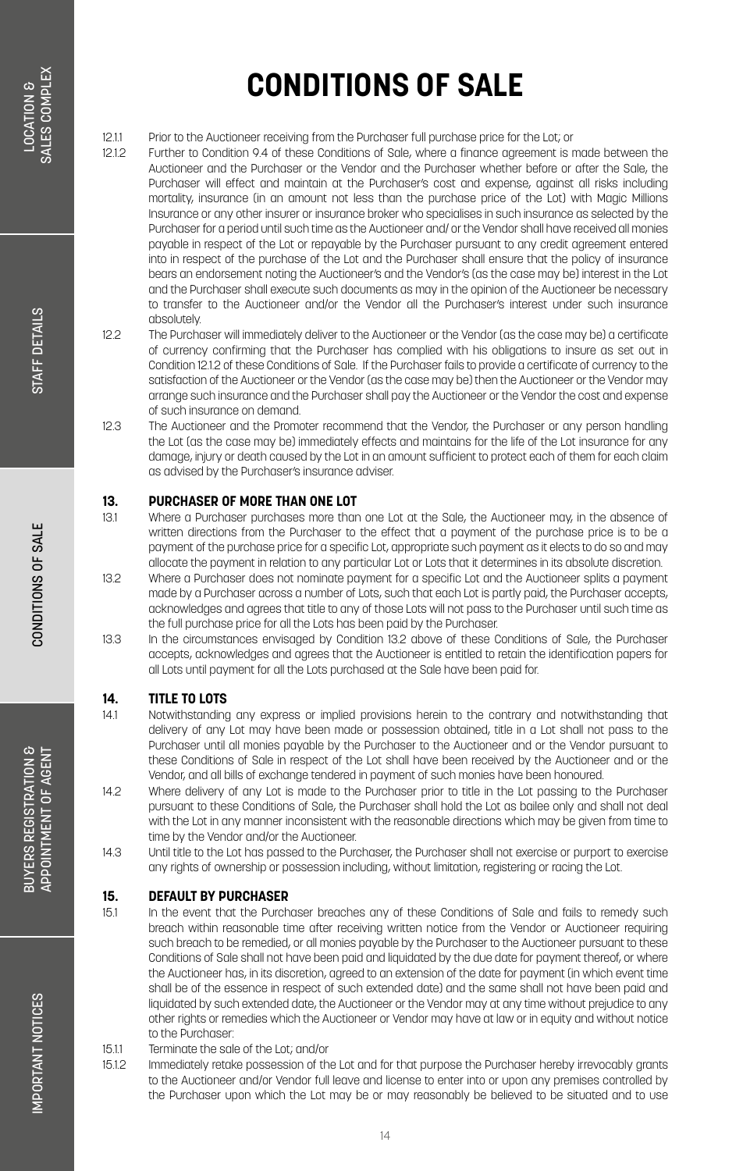12.1.1 Prior to the Auctioneer receiving from the Purchaser full purchase price for the Lot; or<br>12.1.2 Further to Condition 9.4 of these Conditions of Sale, where a finance agreement is

- 12.1.2 Further to Condition 9.4 of these Conditions of Sale, where a finance agreement is made between the Auctioneer and the Purchaser or the Vendor and the Purchaser whether before or after the Sale, the Purchaser will effect and maintain at the Purchaser's cost and expense, against all risks including mortality, insurance (in an amount not less than the purchase price of the Lot) with Magic Millions Insurance or any other insurer or insurance broker who specialises in such insurance as selected by the Purchaser for a period until such time as the Auctioneer and/ or the Vendor shall have received all monies payable in respect of the Lot or repayable by the Purchaser pursuant to any credit agreement entered into in respect of the purchase of the Lot and the Purchaser shall ensure that the policy of insurance bears an endorsement noting the Auctioneer's and the Vendor's (as the case may be) interest in the Lot and the Purchaser shall execute such documents as may in the opinion of the Auctioneer be necessary to transfer to the Auctioneer and/or the Vendor all the Purchaser's interest under such insurance absolutely.
- 12.2 The Purchaser will immediately deliver to the Auctioneer or the Vendor (as the case may be) a certificate of currency confirming that the Purchaser has complied with his obligations to insure as set out in Condition 12.1.2 of these Conditions of Sale. If the Purchaser fails to provide a certificate of currency to the satisfaction of the Auctioneer or the Vendor (as the case may be) then the Auctioneer or the Vendor may arrange such insurance and the Purchaser shall pay the Auctioneer or the Vendor the cost and expense of such insurance on demand.
- 12.3 The Auctioneer and the Promoter recommend that the Vendor, the Purchaser or any person handling the Lot (as the case may be) immediately effects and maintains for the life of the Lot insurance for any damage, injury or death caused by the Lot in an amount sufficient to protect each of them for each claim as advised by the Purchaser's insurance adviser.

### **13. PURCHASER OF MORE THAN ONE LOT**<br>131 Where a Purchaser purchases more that

- Where a Purchaser purchases more than one Lot at the Sale, the Auctioneer may, in the absence of written directions from the Purchaser to the effect that a payment of the purchase price is to be a payment of the purchase price for a specific Lot, appropriate such payment as it elects to do so and may allocate the payment in relation to any particular Lot or Lots that it determines in its absolute discretion.
- 13.2 Where a Purchaser does not nominate payment for a specific Lot and the Auctioneer splits a payment made by a Purchaser across a number of Lots, such that each Lot is partly paid, the Purchaser accepts, acknowledges and agrees that title to any of those Lots will not pass to the Purchaser until such time as the full purchase price for all the Lots has been paid by the Purchaser.
- 13.3 In the circumstances envisaged by Condition 13.2 above of these Conditions of Sale, the Purchaser accepts, acknowledges and agrees that the Auctioneer is entitled to retain the identification papers for all Lots until payment for all the Lots purchased at the Sale have been paid for.

### **14. TITLE TO LOTS**

- 14.1 Notwithstanding any express or implied provisions herein to the contrary and notwithstanding that delivery of any Lot may have been made or possession obtained, title in a Lot shall not pass to the Purchaser until all monies payable by the Purchaser to the Auctioneer and or the Vendor pursuant to these Conditions of Sale in respect of the Lot shall have been received by the Auctioneer and or the Vendor, and all bills of exchange tendered in payment of such monies have been honoured.
- 14.2 Where delivery of any Lot is made to the Purchaser prior to title in the Lot passing to the Purchaser pursuant to these Conditions of Sale, the Purchaser shall hold the Lot as bailee only and shall not deal with the Lot in any manner inconsistent with the reasonable directions which may be given from time to time by the Vendor and/or the Auctioneer.
- 14.3 Until title to the Lot has passed to the Purchaser, the Purchaser shall not exercise or purport to exercise any rights of ownership or possession including, without limitation, registering or racing the Lot.

#### **15. DEFAULT BY PURCHASER**

- 15.1 In the event that the Purchaser breaches any of these Conditions of Sale and fails to remedy such breach within reasonable time after receiving written notice from the Vendor or Auctioneer requiring such breach to be remedied, or all monies payable by the Purchaser to the Auctioneer pursuant to these Conditions of Sale shall not have been paid and liquidated by the due date for payment thereof, or where the Auctioneer has, in its discretion, agreed to an extension of the date for payment (in which event time shall be of the essence in respect of such extended date) and the same shall not have been paid and liquidated by such extended date, the Auctioneer or the Vendor may at any time without prejudice to any other rights or remedies which the Auctioneer or Vendor may have at law or in equity and without notice to the Purchaser:
- 15.1.1 Terminate the sale of the Lot; and/or
- 15.1.2 Immediately retake possession of the Lot and for that purpose the Purchaser hereby irrevocably grants to the Auctioneer and/or Vendor full leave and license to enter into or upon any premises controlled by the Purchaser upon which the Lot may be or may reasonably be believed to be situated and to use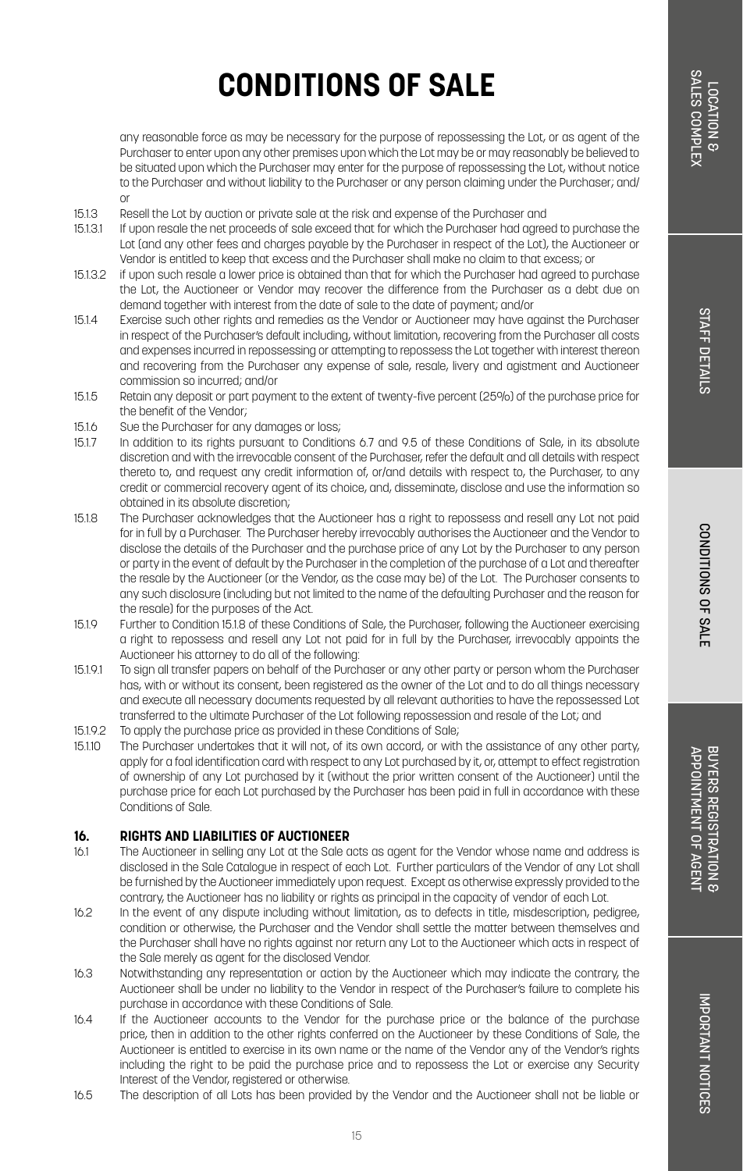CONDITIONS OF SALI

any reasonable force as may be necessary for the purpose of repossessing the Lot, or as agent of the Purchaser to enter upon any other premises upon which the Lot may be or may reasonably be believed to be situated upon which the Purchaser may enter for the purpose of repossessing the Lot, without notice to the Purchaser and without liability to the Purchaser or any person claiming under the Purchaser; and/ or

- 15.1.3 Resell the Lot by auction or private sale at the risk and expense of the Purchaser and<br>15.1.3.1 If upon resale the pet proceeds of sale exceed that for which the Purchaser bad agree
- If upon resale the net proceeds of sale exceed that for which the Purchaser had agreed to purchase the Lot (and any other fees and charges payable by the Purchaser in respect of the Lot), the Auctioneer or Vendor is entitled to keep that excess and the Purchaser shall make no claim to that excess; or
- 15.1.3.2 if upon such resale a lower price is obtained than that for which the Purchaser had agreed to purchase the Lot, the Auctioneer or Vendor may recover the difference from the Purchaser as a debt due on demand together with interest from the date of sale to the date of payment; and/or
- 15.1.4 Exercise such other rights and remedies as the Vendor or Auctioneer may have against the Purchaser in respect of the Purchaser's default including, without limitation, recovering from the Purchaser all costs and expenses incurred in repossessing or attempting to repossess the Lot together with interest thereon and recovering from the Purchaser any expense of sale, resale, livery and agistment and Auctioneer commission so incurred; and/or
- 15.1.5 Retain any deposit or part payment to the extent of twenty-five percent (25%) of the purchase price for the benefit of the Vendor;
- 15.1.6 Sue the Purchaser for any damages or loss;
- 15.1.7 In addition to its rights pursuant to Conditions 6.7 and 9.5 of these Conditions of Sale, in its absolute discretion and with the irrevocable consent of the Purchaser, refer the default and all details with respect thereto to, and request any credit information of, or/and details with respect to, the Purchaser, to any credit or commercial recovery agent of its choice, and, disseminate, disclose and use the information so obtained in its absolute discretion;
- 15.1.8 The Purchaser acknowledges that the Auctioneer has a right to repossess and resell any Lot not paid for in full by a Purchaser. The Purchaser hereby irrevocably authorises the Auctioneer and the Vendor to disclose the details of the Purchaser and the purchase price of any Lot by the Purchaser to any person or party in the event of default by the Purchaser in the completion of the purchase of a Lot and thereafter the resale by the Auctioneer (or the Vendor, as the case may be) of the Lot. The Purchaser consents to any such disclosure (including but not limited to the name of the defaulting Purchaser and the reason for the resale) for the purposes of the Act.
- 15.1.9 Further to Condition 15.1.8 of these Conditions of Sale, the Purchaser, following the Auctioneer exercising a right to repossess and resell any Lot not paid for in full by the Purchaser, irrevocably appoints the Auctioneer his attorney to do all of the following:
- 15.1.9.1 To sign all transfer papers on behalf of the Purchaser or any other party or person whom the Purchaser has, with or without its consent, been registered as the owner of the Lot and to do all things necessary and execute all necessary documents requested by all relevant authorities to have the repossessed Lot transferred to the ultimate Purchaser of the Lot following repossession and resale of the Lot; and
- 15.1.9.2 To apply the purchase price as provided in these Conditions of Sale;
- 15.1.10 The Purchaser undertakes that it will not, of its own accord, or with the assistance of any other party, apply for a foal identification card with respect to any Lot purchased by it, or, attempt to effect registration of ownership of any Lot purchased by it (without the prior written consent of the Auctioneer) until the purchase price for each Lot purchased by the Purchaser has been paid in full in accordance with these Conditions of Sale.

#### **16. RIGHTS AND LIABILITIES OF AUCTIONEER**

- 16.1 The Auctioneer in selling any Lot at the Sale acts as agent for the Vendor whose name and address is disclosed in the Sale Catalogue in respect of each Lot. Further particulars of the Vendor of any Lot shall be furnished by the Auctioneer immediately upon request. Except as otherwise expressly provided to the contrary, the Auctioneer has no liability or rights as principal in the capacity of vendor of each Lot.
- 16.2 In the event of any dispute including without limitation, as to defects in title, misdescription, pedigree, condition or otherwise, the Purchaser and the Vendor shall settle the matter between themselves and the Purchaser shall have no rights against nor return any Lot to the Auctioneer which acts in respect of the Sale merely as agent for the disclosed Vendor.
- 16.3 Notwithstanding any representation or action by the Auctioneer which may indicate the contrary, the Auctioneer shall be under no liability to the Vendor in respect of the Purchaser's failure to complete his purchase in accordance with these Conditions of Sale.
- 16.4 If the Auctioneer accounts to the Vendor for the purchase price or the balance of the purchase price, then in addition to the other rights conferred on the Auctioneer by these Conditions of Sale, the Auctioneer is entitled to exercise in its own name or the name of the Vendor any of the Vendor's rights including the right to be paid the purchase price and to repossess the Lot or exercise any Security Interest of the Vendor, registered or otherwise.
- 16.5 The description of all Lots has been provided by the Vendor and the Auctioneer shall not be liable or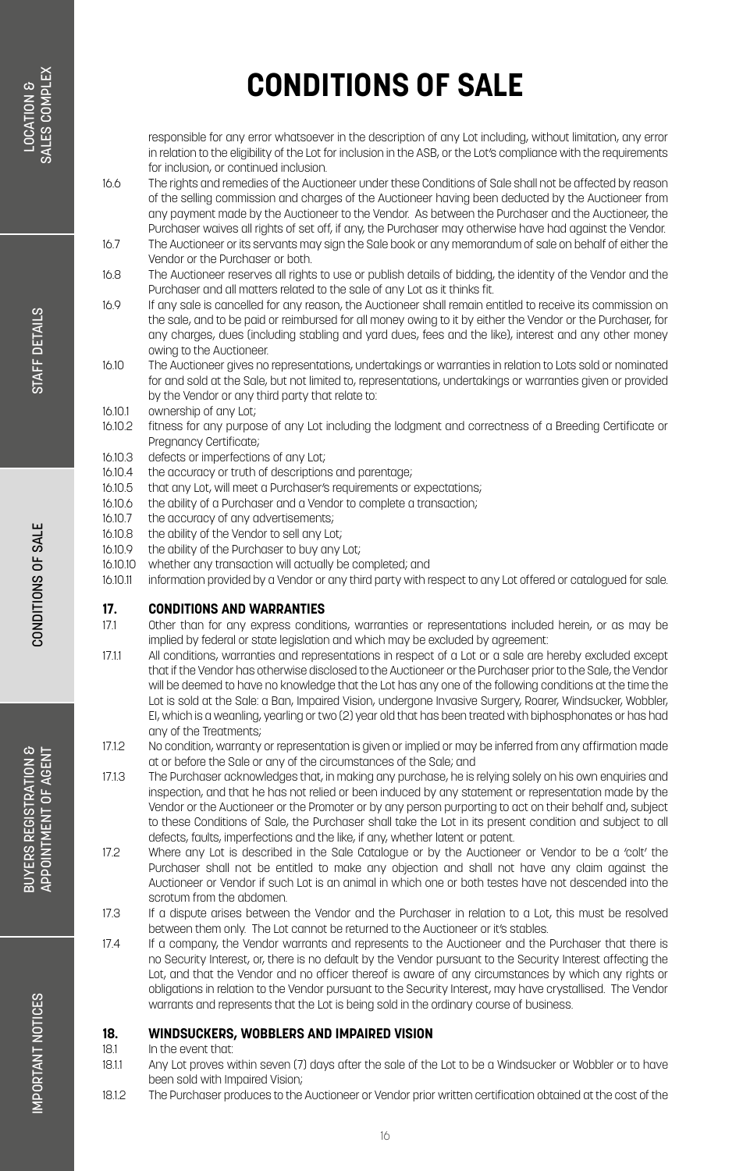responsible for any error whatsoever in the description of any Lot including, without limitation, any error in relation to the eligibility of the Lot for inclusion in the ASB, or the Lot's compliance with the requirements for inclusion, or continued inclusion.

- 16.6 The rights and remedies of the Auctioneer under these Conditions of Sale shall not be affected by reason of the selling commission and charges of the Auctioneer having been deducted by the Auctioneer from any payment made by the Auctioneer to the Vendor. As between the Purchaser and the Auctioneer, the Purchaser waives all rights of set off, if any, the Purchaser may otherwise have had against the Vendor.
- 16.7 The Auctioneer or its servants may sign the Sale book or any memorandum of sale on behalf of either the Vendor or the Purchaser or both.
- 16.8 The Auctioneer reserves all rights to use or publish details of bidding, the identity of the Vendor and the Purchaser and all matters related to the sale of any Lot as it thinks fit.
- 16.9 If any sale is cancelled for any reason, the Auctioneer shall remain entitled to receive its commission on the sale, and to be paid or reimbursed for all money owing to it by either the Vendor or the Purchaser, for any charges, dues (including stabling and yard dues, fees and the like), interest and any other money owing to the Auctioneer.
- 16.10 The Auctioneer gives no representations, undertakings or warranties in relation to Lots sold or nominated for and sold at the Sale, but not limited to, representations, undertakings or warranties given or provided by the Vendor or any third party that relate to:
- 16.10.1 ownership of any Lot;<br>16.10.2 fitness for any purpo
- fitness for any purpose of any Lot including the lodgment and correctness of a Breeding Certificate or Pregnancy Certificate;
- 16.10.3 defects or imperfections of any Lot;
- 16.10.4 the accuracy or truth of descriptions and parentage;
- 16.10.5 that any Lot, will meet a Purchaser's requirements or expectations;
- 16.10.6 the ability of a Purchaser and a Vendor to complete a transaction;<br>16.10.7 the accuracy of any advertisements;
- the accuracy of any advertisements;
- 16.10.8 the ability of the Vendor to sell any Lot;
- 16.10.9 the ability of the Purchaser to buy any Lot;
- 16.10.10 whether any transaction will actually be completed; and
- 16.10.11 information provided by a Vendor or any third party with respect to any Lot offered or catalogued for sale.

#### **17. CONDITIONS AND WARRANTIES**

- 17.1 Other than for any express conditions, warranties or representations included herein, or as may be implied by federal or state legislation and which may be excluded by agreement:
- 17.1.1 All conditions, warranties and representations in respect of a Lot or a sale are hereby excluded except that if the Vendor has otherwise disclosed to the Auctioneer or the Purchaser prior to the Sale, the Vendor will be deemed to have no knowledge that the Lot has any one of the following conditions at the time the Lot is sold at the Sale: a Ban, Impaired Vision, undergone Invasive Surgery, Roarer, Windsucker, Wobbler, EI, which is a weanling, yearling or two (2) year old that has been treated with biphosphonates or has had any of the Treatments;
- 17.1.2 No condition, warranty or representation is given or implied or may be inferred from any affirmation made at or before the Sale or any of the circumstances of the Sale; and
- 17.1.3 The Purchaser acknowledges that, in making any purchase, he is relying solely on his own enquiries and inspection, and that he has not relied or been induced by any statement or representation made by the Vendor or the Auctioneer or the Promoter or by any person purporting to act on their behalf and, subject to these Conditions of Sale, the Purchaser shall take the Lot in its present condition and subject to all defects, faults, imperfections and the like, if any, whether latent or patent.
- 17.2 Where any Lot is described in the Sale Catalogue or by the Auctioneer or Vendor to be a 'colt' the Purchaser shall not be entitled to make any objection and shall not have any claim against the Auctioneer or Vendor if such Lot is an animal in which one or both testes have not descended into the scrotum from the abdomen
- 17.3 If a dispute arises between the Vendor and the Purchaser in relation to a Lot, this must be resolved between them only. The Lot cannot be returned to the Auctioneer or it's stables.
- 17.4 If a company, the Vendor warrants and represents to the Auctioneer and the Purchaser that there is no Security Interest, or, there is no default by the Vendor pursuant to the Security Interest affecting the Lot, and that the Vendor and no officer thereof is aware of any circumstances by which any rights or obligations in relation to the Vendor pursuant to the Security Interest, may have crystallised. The Vendor warrants and represents that the Lot is being sold in the ordinary course of business.

### **18. WINDSUCKERS, WOBBLERS AND IMPAIRED VISION**

- In the event that
- 18.1.1 Any Lot proves within seven (7) days after the sale of the Lot to be a Windsucker or Wobbler or to have been sold with Impaired Vision;
- 18.1.2 The Purchaser produces to the Auctioneer or Vendor prior written certification obtained at the cost of the

**3UYERS REGISTRATION &** BUYERS REGISTRATION &<br>APPOINTMENT OF AGENT APPOINTMENT OF AGENT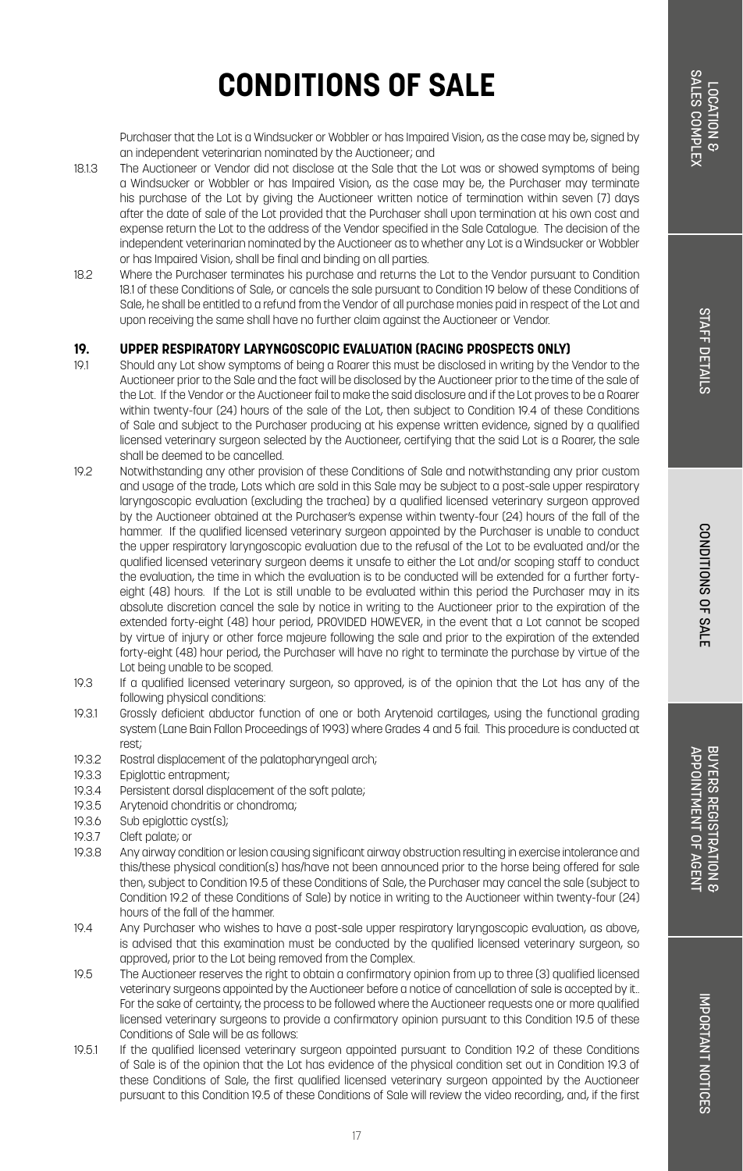Purchaser that the Lot is a Windsucker or Wobbler or has Impaired Vision, as the case may be, signed by an independent veterinarian nominated by the Auctioneer; and

- 18.1.3 The Auctioneer or Vendor did not disclose at the Sale that the Lot was or showed symptoms of being a Windsucker or Wobbler or has Impaired Vision, as the case may be, the Purchaser may terminate his purchase of the Lot by giving the Auctioneer written notice of termination within seven (7) days after the date of sale of the Lot provided that the Purchaser shall upon termination at his own cost and expense return the Lot to the address of the Vendor specified in the Sale Catalogue. The decision of the independent veterinarian nominated by the Auctioneer as to whether any Lot is a Windsucker or Wobbler or has Impaired Vision, shall be final and binding on all parties.
- 18.2 Where the Purchaser terminates his purchase and returns the Lot to the Vendor pursuant to Condition 18.1 of these Conditions of Sale, or cancels the sale pursuant to Condition 19 below of these Conditions of Sale, he shall be entitled to a refund from the Vendor of all purchase monies paid in respect of the Lot and upon receiving the same shall have no further claim against the Auctioneer or Vendor.

### **19. UPPER RESPIRATORY LARYNGOSCOPIC EVALUATION (RACING PROSPECTS ONLY)**

- Should any Lot show symptoms of being a Roarer this must be disclosed in writing by the Vendor to the Auctioneer prior to the Sale and the fact will be disclosed by the Auctioneer prior to the time of the sale of the Lot. If the Vendor or the Auctioneer fail to make the said disclosure and if the Lot proves to be a Roarer within twenty-four (24) hours of the sale of the Lot, then subject to Condition 19.4 of these Conditions of Sale and subject to the Purchaser producing at his expense written evidence, signed by a qualified licensed veterinary surgeon selected by the Auctioneer, certifying that the said Lot is a Roarer, the sale shall be deemed to be cancelled.
- 19.2 Notwithstanding any other provision of these Conditions of Sale and notwithstanding any prior custom and usage of the trade, Lots which are sold in this Sale may be subject to a post-sale upper respiratory laryngoscopic evaluation (excluding the trachea) by a qualified licensed veterinary surgeon approved by the Auctioneer obtained at the Purchaser's expense within twenty-four (24) hours of the fall of the hammer. If the qualified licensed veterinary surgeon appointed by the Purchaser is unable to conduct the upper respiratory laryngoscopic evaluation due to the refusal of the Lot to be evaluated and/or the qualified licensed veterinary surgeon deems it unsafe to either the Lot and/or scoping staff to conduct the evaluation, the time in which the evaluation is to be conducted will be extended for a further fortyeight (48) hours. If the Lot is still unable to be evaluated within this period the Purchaser may in its absolute discretion cancel the sale by notice in writing to the Auctioneer prior to the expiration of the extended forty-eight (48) hour period, PROVIDED HOWEVER, in the event that a Lot cannot be scoped by virtue of injury or other force majeure following the sale and prior to the expiration of the extended forty-eight (48) hour period, the Purchaser will have no right to terminate the purchase by virtue of the Lot being unable to be scoped.
- 19.3 If a qualified licensed veterinary surgeon, so approved, is of the opinion that the Lot has any of the following physical conditions:
- 19.3.1 Grossly deficient abductor function of one or both Arytenoid cartilages, using the functional grading system (Lane Bain Fallon Proceedings of 1993) where Grades 4 and 5 fail. This procedure is conducted at rest;
- 19.3.2 Rostral displacement of the palatopharyngeal arch;
- 19.3.3 Epiglottic entrapment;
- 19.3.4 Persistent dorsal displacement of the soft palate;<br>19.3.5 Arytenoid chondritis or chondroma;
- 19.3.5 Arytenoid chondritis or chondroma;<br>19.3.6 Sub epiglottic cyst(s);
- Sub epiglottic cyst(s);
- 19.3.7 Cleft palate; or
- 19.3.8 Any airway condition or lesion causing significant airway obstruction resulting in exercise intolerance and this/these physical condition(s) has/have not been announced prior to the horse being offered for sale then, subject to Condition 19.5 of these Conditions of Sale, the Purchaser may cancel the sale (subject to Condition 19.2 of these Conditions of Sale) by notice in writing to the Auctioneer within twenty-four (24) hours of the fall of the hammer.
- 19.4 Any Purchaser who wishes to have a post-sale upper respiratory laryngoscopic evaluation, as above, is advised that this examination must be conducted by the qualified licensed veterinary surgeon, so approved, prior to the Lot being removed from the Complex.
- 19.5 The Auctioneer reserves the right to obtain a confirmatory opinion from up to three (3) qualified licensed veterinary surgeons appointed by the Auctioneer before a notice of cancellation of sale is accepted by it.. For the sake of certainty, the process to be followed where the Auctioneer requests one or more qualified licensed veterinary surgeons to provide a confirmatory opinion pursuant to this Condition 19.5 of these Conditions of Sale will be as follows:
- 19.5.1 If the qualified licensed veterinary surgeon appointed pursuant to Condition 19.2 of these Conditions of Sale is of the opinion that the Lot has evidence of the physical condition set out in Condition 19.3 of these Conditions of Sale, the first qualified licensed veterinary surgeon appointed by the Auctioneer pursuant to this Condition 19.5 of these Conditions of Sale will review the video recording, and, if the first

APPOINTMENT OF AGENT BUYERS REGISTRATION & APPOINTMENT OF AGENT BUYERS REGISTRATION 8

CONDITIONS OF SALE

CONDITIONS OF SALE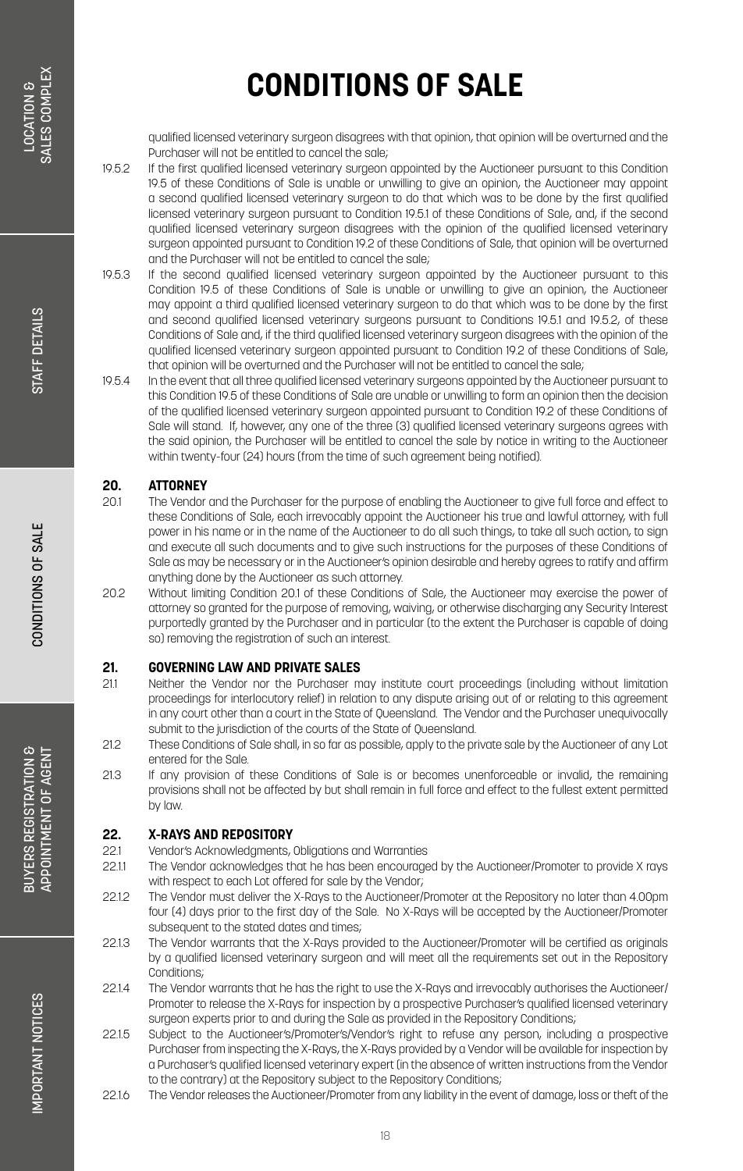qualified licensed veterinary surgeon disagrees with that opinion, that opinion will be overturned and the Purchaser will not be entitled to cancel the sale;

- 19.5.2 If the first qualified licensed veterinary surgeon appointed by the Auctioneer pursuant to this Condition 19.5 of these Conditions of Sale is unable or unwilling to give an opinion, the Auctioneer may appoint a second qualified licensed veterinary surgeon to do that which was to be done by the first qualified licensed veterinary surgeon pursuant to Condition 19.5.1 of these Conditions of Sale, and, if the second qualified licensed veterinary surgeon disagrees with the opinion of the qualified licensed veterinary surgeon appointed pursuant to Condition 19.2 of these Conditions of Sale, that opinion will be overturned and the Purchaser will not be entitled to cancel the sale;
- 19.5.3 If the second qualified licensed veterinary surgeon appointed by the Auctioneer pursuant to this Condition 19.5 of these Conditions of Sale is unable or unwilling to give an opinion, the Auctioneer may appoint a third qualified licensed veterinary surgeon to do that which was to be done by the first and second qualified licensed veterinary surgeons pursuant to Conditions 19.5.1 and 19.5.2, of these Conditions of Sale and, if the third qualified licensed veterinary surgeon disagrees with the opinion of the qualified licensed veterinary surgeon appointed pursuant to Condition 19.2 of these Conditions of Sale, that opinion will be overturned and the Purchaser will not be entitled to cancel the sale;
- 19.5.4 In the event that all three qualified licensed veterinary surgeons appointed by the Auctioneer pursuant to this Condition 19.5 of these Conditions of Sale are unable or unwilling to form an opinion then the decision of the qualified licensed veterinary surgeon appointed pursuant to Condition 19.2 of these Conditions of Sale will stand. If, however, any one of the three (3) qualified licensed veterinary surgeons agrees with the said opinion, the Purchaser will be entitled to cancel the sale by notice in writing to the Auctioneer within twenty-four (24) hours (from the time of such agreement being notified).

### **20. ATTORNEY**

- 20.1 The Vendor and the Purchaser for the purpose of enabling the Auctioneer to give full force and effect to these Conditions of Sale, each irrevocably appoint the Auctioneer his true and lawful attorney, with full power in his name or in the name of the Auctioneer to do all such things, to take all such action, to sign and execute all such documents and to give such instructions for the purposes of these Conditions of Sale as may be necessary or in the Auctioneer's opinion desirable and hereby agrees to ratify and affirm anything done by the Auctioneer as such attorney.
- 20.2 Without limiting Condition 20.1 of these Conditions of Sale, the Auctioneer may exercise the power of attorney so granted for the purpose of removing, waiving, or otherwise discharging any Security Interest purportedly granted by the Purchaser and in particular (to the extent the Purchaser is capable of doing so) removing the registration of such an interest.

### **21. <b>GOVERNING LAW AND PRIVATE SALES**<br>211 Meither the Vendor por the Purchaser m

- 21.1 Neither the Vendor nor the Purchaser may institute court proceedings (including without limitation proceedings for interlocutory relief) in relation to any dispute arising out of or relating to this agreement in any court other than a court in the State of Queensland. The Vendor and the Purchaser unequivocally submit to the jurisdiction of the courts of the State of Queensland.
- 21.2 These Conditions of Sale shall, in so far as possible, apply to the private sale by the Auctioneer of any Lot entered for the Sale.
- 21.3 If any provision of these Conditions of Sale is or becomes unenforceable or invalid, the remaining provisions shall not be affected by but shall remain in full force and effect to the fullest extent permitted by law.

### **22. X-RAYS AND REPOSITORY**

- 22.1 Vendor's Acknowledgments, Obligations and Warranties
- The Vendor acknowledges that he has been encouraged by the Auctioneer/Promoter to provide X rays with respect to each Lot offered for sale by the Vendor;
- 22.1.2 The Vendor must deliver the X-Rays to the Auctioneer/Promoter at the Repository no later than 4.00pm four (4) days prior to the first day of the Sale. No X-Rays will be accepted by the Auctioneer/Promoter subsequent to the stated dates and times;
- 22.1.3 The Vendor warrants that the X-Rays provided to the Auctioneer/Promoter will be certified as originals by a qualified licensed veterinary surgeon and will meet all the requirements set out in the Repository Conditions;
- 22.1.4 The Vendor warrants that he has the right to use the X-Rays and irrevocably authorises the Auctioneer/ Promoter to release the X-Rays for inspection by a prospective Purchaser's qualified licensed veterinary surgeon experts prior to and during the Sale as provided in the Repository Conditions;
- 22.1.5 Subject to the Auctioneer's/Promoter's/Vendor's right to refuse any person, including a prospective Purchaser from inspecting the X-Rays, the X-Rays provided by a Vendor will be available for inspection by a Purchaser's qualified licensed veterinary expert (in the absence of written instructions from the Vendor to the contrary) at the Repository subject to the Repository Conditions;
- 22.1.6 The Vendor releases the Auctioneer/Promoter from any liability in the event of damage, loss or theft of the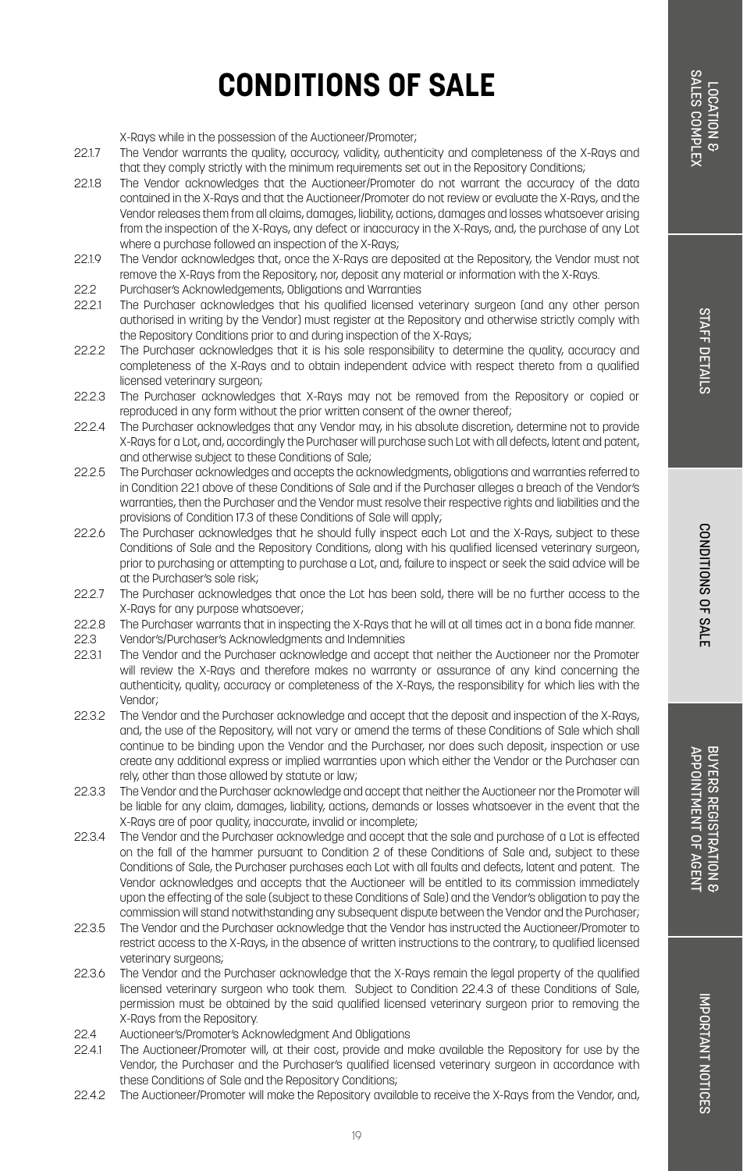X-Rays while in the possession of the Auctioneer/Promoter;

- 22.1.7 The Vendor warrants the quality, accuracy, validity, authenticity and completeness of the X-Rays and that they comply strictly with the minimum requirements set out in the Repository Conditions;
- 22.1.8 The Vendor acknowledges that the Auctioneer/Promoter do not warrant the accuracy of the data contained in the X-Rays and that the Auctioneer/Promoter do not review or evaluate the X-Rays, and the Vendor releases them from all claims, damages, liability, actions, damages and losses whatsoever arising from the inspection of the X-Rays, any defect or inaccuracy in the X-Rays, and, the purchase of any Lot where a purchase followed an inspection of the X-Rays;
- 22.1.9 The Vendor acknowledges that, once the X-Rays are deposited at the Repository, the Vendor must not remove the X-Rays from the Repository, nor, deposit any material or information with the X-Rays.
- 22.2 Purchaser's Acknowledgements, Obligations and Warranties<br>22.21 The Purchaser acknowledges that his qualified licensed y
- 22.2.1 The Purchaser acknowledges that his qualified licensed veterinary surgeon (and any other person authorised in writing by the Vendor) must register at the Repository and otherwise strictly comply with the Repository Conditions prior to and during inspection of the X-Rays;
- 22.2.2 The Purchaser acknowledges that it is his sole responsibility to determine the quality, accuracy and completeness of the X-Rays and to obtain independent advice with respect thereto from a qualified licensed veterinary surgeon;
- 22.2.3 The Purchaser acknowledges that X-Rays may not be removed from the Repository or copied or reproduced in any form without the prior written consent of the owner thereof;
- 22.2.4 The Purchaser acknowledges that any Vendor may, in his absolute discretion, determine not to provide X-Rays for a Lot, and, accordingly the Purchaser will purchase such Lot with all defects, latent and patent, and otherwise subject to these Conditions of Sale;
- 22.2.5 The Purchaser acknowledges and accepts the acknowledgments, obligations and warranties referred to in Condition 22.1 above of these Conditions of Sale and if the Purchaser alleges a breach of the Vendor's warranties, then the Purchaser and the Vendor must resolve their respective rights and liabilities and the provisions of Condition 17.3 of these Conditions of Sale will apply;
- 22.2.6 The Purchaser acknowledges that he should fully inspect each Lot and the X-Rays, subject to these Conditions of Sale and the Repository Conditions, along with his qualified licensed veterinary surgeon, prior to purchasing or attempting to purchase a Lot, and, failure to inspect or seek the said advice will be at the Purchaser's sole risk;
- 22.2.7 The Purchaser acknowledges that once the Lot has been sold, there will be no further access to the X-Rays for any purpose whatsoever;
- 22.2.8 The Purchaser warrants that in inspecting the X-Rays that he will at all times act in a bona fide manner.<br>22.3 Vendorfs/Purchaser's Acknowledaments and Indemnities
- 22.3 Vendor's/Purchaser's Acknowledgments and Indemnities
- 22.3.1 The Vendor and the Purchaser acknowledge and accept that neither the Auctioneer nor the Promoter will review the X-Rays and therefore makes no warranty or assurance of any kind concerning the authenticity, quality, accuracy or completeness of the X-Rays, the responsibility for which lies with the Vendor;
- 22.3.2 The Vendor and the Purchaser acknowledge and accept that the deposit and inspection of the X-Rays, and, the use of the Repository, will not vary or amend the terms of these Conditions of Sale which shall continue to be binding upon the Vendor and the Purchaser, nor does such deposit, inspection or use create any additional express or implied warranties upon which either the Vendor or the Purchaser can rely, other than those allowed by statute or law;
- 22.3.3 The Vendor and the Purchaser acknowledge and accept that neither the Auctioneer nor the Promoter will be liable for any claim, damages, liability, actions, demands or losses whatsoever in the event that the X-Rays are of poor quality, inaccurate, invalid or incomplete;
- 22.3.4 The Vendor and the Purchaser acknowledge and accept that the sale and purchase of a Lot is effected on the fall of the hammer pursuant to Condition 2 of these Conditions of Sale and, subject to these Conditions of Sale, the Purchaser purchases each Lot with all faults and defects, latent and patent. The Vendor acknowledges and accepts that the Auctioneer will be entitled to its commission immediately upon the effecting of the sale (subject to these Conditions of Sale) and the Vendor's obligation to pay the commission will stand notwithstanding any subsequent dispute between the Vendor and the Purchaser;
- 22.3.5 The Vendor and the Purchaser acknowledge that the Vendor has instructed the Auctioneer/Promoter to restrict access to the X-Rays, in the absence of written instructions to the contrary, to qualified licensed veterinary surgeons;
- 22.3.6 The Vendor and the Purchaser acknowledge that the X-Rays remain the legal property of the qualified licensed veterinary surgeon who took them. Subject to Condition 22.4.3 of these Conditions of Sale, permission must be obtained by the said qualified licensed veterinary surgeon prior to removing the X-Rays from the Repository.
- 22.4 Auctioneer's/Promoter's Acknowledgment And Obligations
- 22.4.1 The Auctioneer/Promoter will, at their cost, provide and make available the Repository for use by the Vendor, the Purchaser and the Purchaser's qualified licensed veterinary surgeon in accordance with these Conditions of Sale and the Repository Conditions;
- 22.4.2 The Auctioneer/Promoter will make the Repository available to receive the X-Rays from the Vendor, and,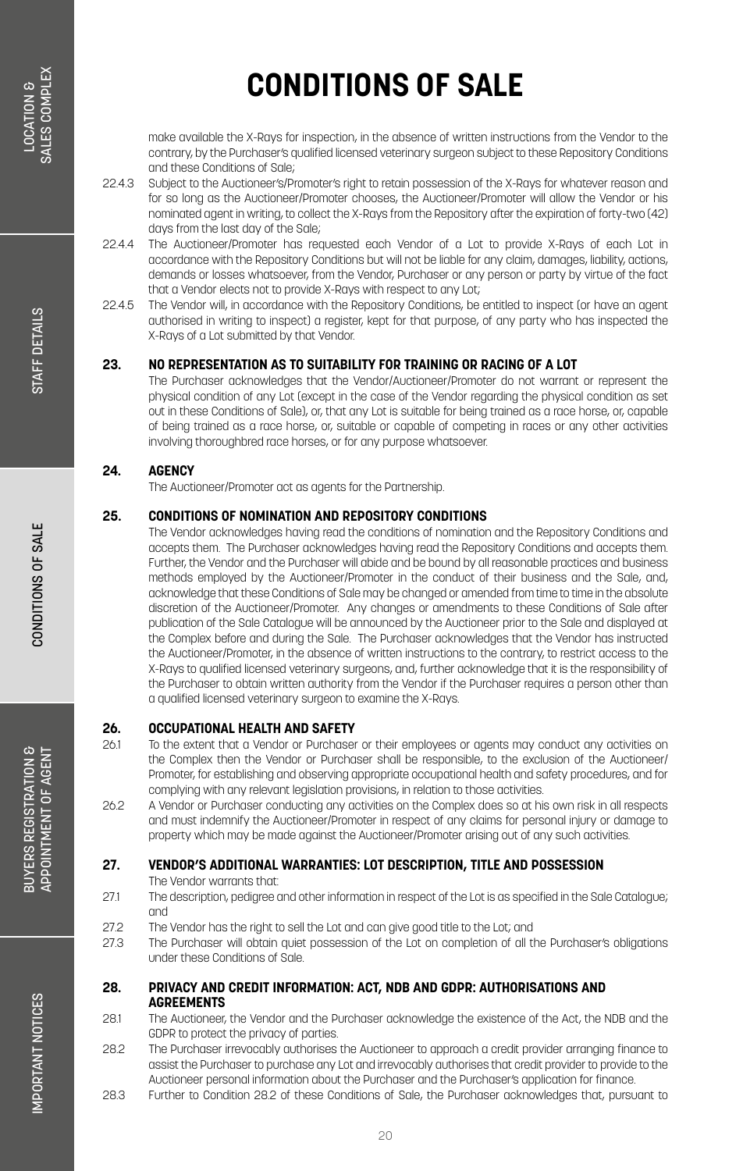make available the X-Rays for inspection, in the absence of written instructions from the Vendor to the contrary, by the Purchaser's qualified licensed veterinary surgeon subject to these Repository Conditions and these Conditions of Sale;

- 22.4.3 Subject to the Auctioneer's/Promoter's right to retain possession of the X-Rays for whatever reason and for so long as the Auctioneer/Promoter chooses, the Auctioneer/Promoter will allow the Vendor or his nominated agent in writing, to collect the X-Rays from the Repository after the expiration of forty-two (42) days from the last day of the Sale;
- 22.4.4 The Auctioneer/Promoter has requested each Vendor of a Lot to provide X-Rays of each Lot in accordance with the Repository Conditions but will not be liable for any claim, damages, liability, actions, demands or losses whatsoever, from the Vendor, Purchaser or any person or party by virtue of the fact that a Vendor elects not to provide X-Rays with respect to any Lot;
- 22.4.5 The Vendor will, in accordance with the Repository Conditions, be entitled to inspect (or have an agent authorised in writing to inspect) a register, kept for that purpose, of any party who has inspected the X-Rays of a Lot submitted by that Vendor.

#### **23. NO REPRESENTATION AS TO SUITABILITY FOR TRAINING OR RACING OF A LOT**

The Purchaser acknowledges that the Vendor/Auctioneer/Promoter do not warrant or represent the physical condition of any Lot (except in the case of the Vendor regarding the physical condition as set out in these Conditions of Sale), or, that any Lot is suitable for being trained as a race horse, or, capable of being trained as a race horse, or, suitable or capable of competing in races or any other activities involving thoroughbred race horses, or for any purpose whatsoever.

#### **24. AGENCY**

The Auctioneer/Promoter act as agents for the Partnership.

#### **25. CONDITIONS OF NOMINATION AND REPOSITORY CONDITIONS**

The Vendor acknowledges having read the conditions of nomination and the Repository Conditions and accepts them. The Purchaser acknowledges having read the Repository Conditions and accepts them. Further, the Vendor and the Purchaser will abide and be bound by all reasonable practices and business methods employed by the Auctioneer/Promoter in the conduct of their business and the Sale, and, acknowledge that these Conditions of Sale may be changed or amended from time to time in the absolute discretion of the Auctioneer/Promoter. Any changes or amendments to these Conditions of Sale after publication of the Sale Catalogue will be announced by the Auctioneer prior to the Sale and displayed at the Complex before and during the Sale. The Purchaser acknowledges that the Vendor has instructed the Auctioneer/Promoter, in the absence of written instructions to the contrary, to restrict access to the X-Rays to qualified licensed veterinary surgeons, and, further acknowledge that it is the responsibility of the Purchaser to obtain written authority from the Vendor if the Purchaser requires a person other than a qualified licensed veterinary surgeon to examine the X-Rays.

### **26. OCCUPATIONAL HEALTH AND SAFETY**<br>261 To the extent that a Vendor or Purchase

- 26.1 To the extent that a Vendor or Purchaser or their employees or agents may conduct any activities on the Complex then the Vendor or Purchaser shall be responsible, to the exclusion of the Auctioneer/ Promoter, for establishing and observing appropriate occupational health and safety procedures, and for complying with any relevant legislation provisions, in relation to those activities.
- 26.2 A Vendor or Purchaser conducting any activities on the Complex does so at his own risk in all respects and must indemnify the Auctioneer/Promoter in respect of any claims for personal injury or damage to property which may be made against the Auctioneer/Promoter arising out of any such activities.

#### **27. VENDOR'S ADDITIONAL WARRANTIES: LOT DESCRIPTION, TITLE AND POSSESSION**

The Vendor warrants that:

- 27.1 The description, pedigree and other information in respect of the Lot is as specified in the Sale Catalogue; and
- 27.2 The Vendor has the right to sell the Lot and can give good title to the Lot; and
- 27.3 The Purchaser will obtain quiet possession of the Lot on completion of all the Purchaser's obligations under these Conditions of Sale.
- **28. PRIVACY AND CREDIT INFORMATION: ACT, NDB AND GDPR: AUTHORISATIONS AND AGREEMENTS**
- 28.1 The Auctioneer, the Vendor and the Purchaser acknowledge the existence of the Act, the NDB and the GDPR to protect the privacy of parties.
- 28.2 The Purchaser irrevocably authorises the Auctioneer to approach a credit provider arranging finance to assist the Purchaser to purchase any Lot and irrevocably authorises that credit provider to provide to the Auctioneer personal information about the Purchaser and the Purchaser's application for finance.
- 28.3 Further to Condition 28.2 of these Conditions of Sale, the Purchaser acknowledges that, pursuant to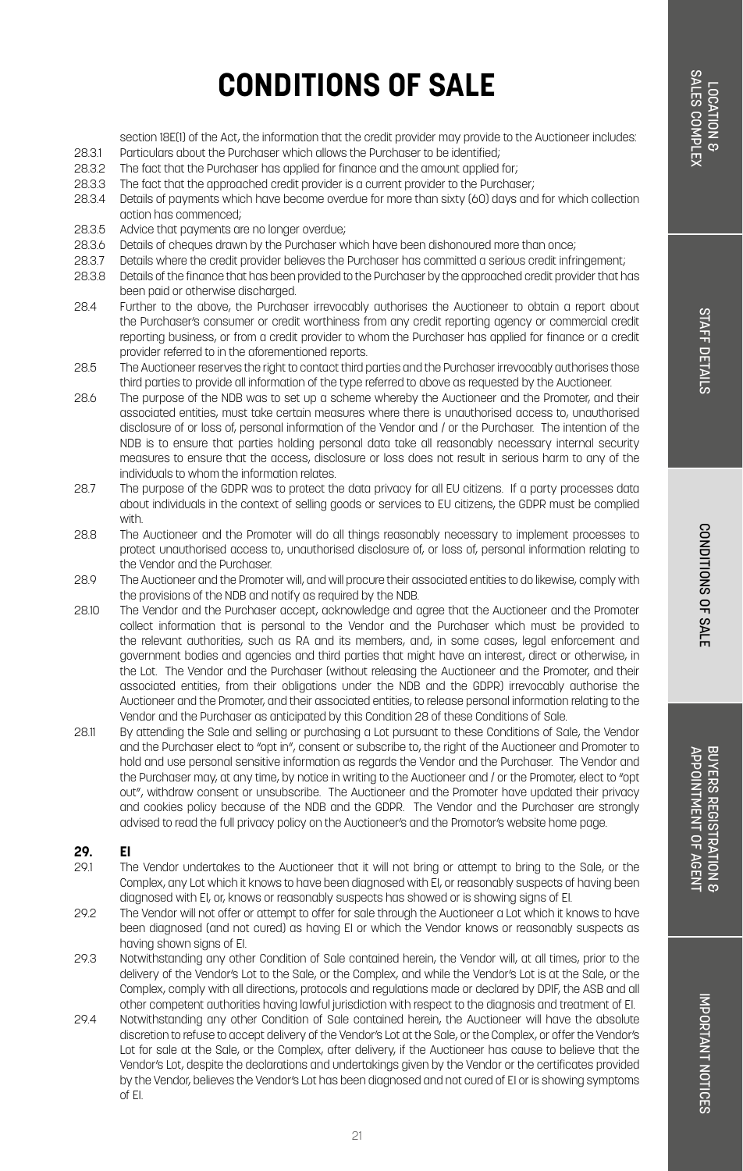CONDITIONS OF SALE

## **CONDITIONS OF SALE**

section 18E(1) of the Act, the information that the credit provider may provide to the Auctioneer includes

- 28.3.1 Particulars about the Purchaser which allows the Purchaser to be identified;<br>28.3.2 The fact that the Purchaser bas applied for finance and the amount applied
- . The fact that the Purchaser has applied for finance and the amount applied for:
- 28.3.3 The fact that the approached credit provider is a current provider to the Purchaser;
- 28.3.4 Details of payments which have become overdue for more than sixty (60) days and for which collection action has commenced;
- 28.3.5 Advice that payments are no longer overdue;<br>28.3.6 Details of cheques drawn by the Purchaser w
- Details of cheques drawn by the Purchaser which have been dishonoured more than once;
- 28.3.7 Details where the credit provider believes the Purchaser has committed a serious credit infringement;
- 28.3.8 Details of the finance that has been provided to the Purchaser by the approached credit provider that has been paid or otherwise discharged.
- 28.4 Further to the above, the Purchaser irrevocably authorises the Auctioneer to obtain a report about the Purchaser's consumer or credit worthiness from any credit reporting agency or commercial credit reporting business, or from a credit provider to whom the Purchaser has applied for finance or a credit provider referred to in the aforementioned reports.
- 28.5 The Auctioneer reserves the right to contact third parties and the Purchaser irrevocably authorises those third parties to provide all information of the type referred to above as requested by the Auctioneer.
- 28.6 The purpose of the NDB was to set up a scheme whereby the Auctioneer and the Promoter, and their associated entities, must take certain measures where there is unauthorised access to, unauthorised disclosure of or loss of, personal information of the Vendor and / or the Purchaser. The intention of the NDB is to ensure that parties holding personal data take all reasonably necessary internal security measures to ensure that the access, disclosure or loss does not result in serious harm to any of the individuals to whom the information relates.
- 28.7 The purpose of the GDPR was to protect the data privacy for all EU citizens. If a party processes data about individuals in the context of selling goods or services to EU citizens, the GDPR must be complied with.
- 28.8 The Auctioneer and the Promoter will do all things reasonably necessary to implement processes to protect unauthorised access to, unauthorised disclosure of, or loss of, personal information relating to the Vendor and the Purchaser.
- 28.9 The Auctioneer and the Promoter will, and will procure their associated entities to do likewise, comply with the provisions of the NDB and notify as required by the NDB.
- 28.10 The Vendor and the Purchaser accept, acknowledge and agree that the Auctioneer and the Promoter collect information that is personal to the Vendor and the Purchaser which must be provided to the relevant authorities, such as RA and its members, and, in some cases, legal enforcement and government bodies and agencies and third parties that might have an interest, direct or otherwise, in the Lot. The Vendor and the Purchaser (without releasing the Auctioneer and the Promoter, and their associated entities, from their obligations under the NDB and the GDPR) irrevocably authorise the Auctioneer and the Promoter, and their associated entities, to release personal information relating to the Vendor and the Purchaser as anticipated by this Condition 28 of these Conditions of Sale.
- 28.11 By attending the Sale and selling or purchasing a Lot pursuant to these Conditions of Sale, the Vendor and the Purchaser elect to "opt in", consent or subscribe to, the right of the Auctioneer and Promoter to hold and use personal sensitive information as regards the Vendor and the Purchaser. The Vendor and the Purchaser may, at any time, by notice in writing to the Auctioneer and / or the Promoter, elect to "opt out", withdraw consent or unsubscribe. The Auctioneer and the Promoter have updated their privacy and cookies policy because of the NDB and the GDPR. The Vendor and the Purchaser are strongly advised to read the full privacy policy on the Auctioneer's and the Promotor's website home page.

### **29. EI**

- The Vendor undertakes to the Auctioneer that it will not bring or attempt to bring to the Sale, or the Complex, any Lot which it knows to have been diagnosed with EI, or reasonably suspects of having been diagnosed with EI, or, knows or reasonably suspects has showed or is showing signs of EI.
- 29.2 The Vendor will not offer or attempt to offer for sale through the Auctioneer a Lot which it knows to have been diagnosed (and not cured) as having EI or which the Vendor knows or reasonably suspects as having shown signs of EI.
- 29.3 Notwithstanding any other Condition of Sale contained herein, the Vendor will, at all times, prior to the delivery of the Vendor's Lot to the Sale, or the Complex, and while the Vendor's Lot is at the Sale, or the Complex, comply with all directions, protocols and regulations made or declared by DPIF, the ASB and all other competent authorities having lawful jurisdiction with respect to the diagnosis and treatment of EI.
- 29.4 Notwithstanding any other Condition of Sale contained herein, the Auctioneer will have the absolute discretion to refuse to accept delivery of the Vendor's Lot at the Sale, or the Complex, or offer the Vendor's Lot for sale at the Sale, or the Complex, after delivery, if the Auctioneer has cause to believe that the Vendor's Lot, despite the declarations and undertakings given by the Vendor or the certificates provided by the Vendor, believes the Vendor's Lot has been diagnosed and not cured of EI or is showing symptoms of EI.

BUYERS REGISTRATION 8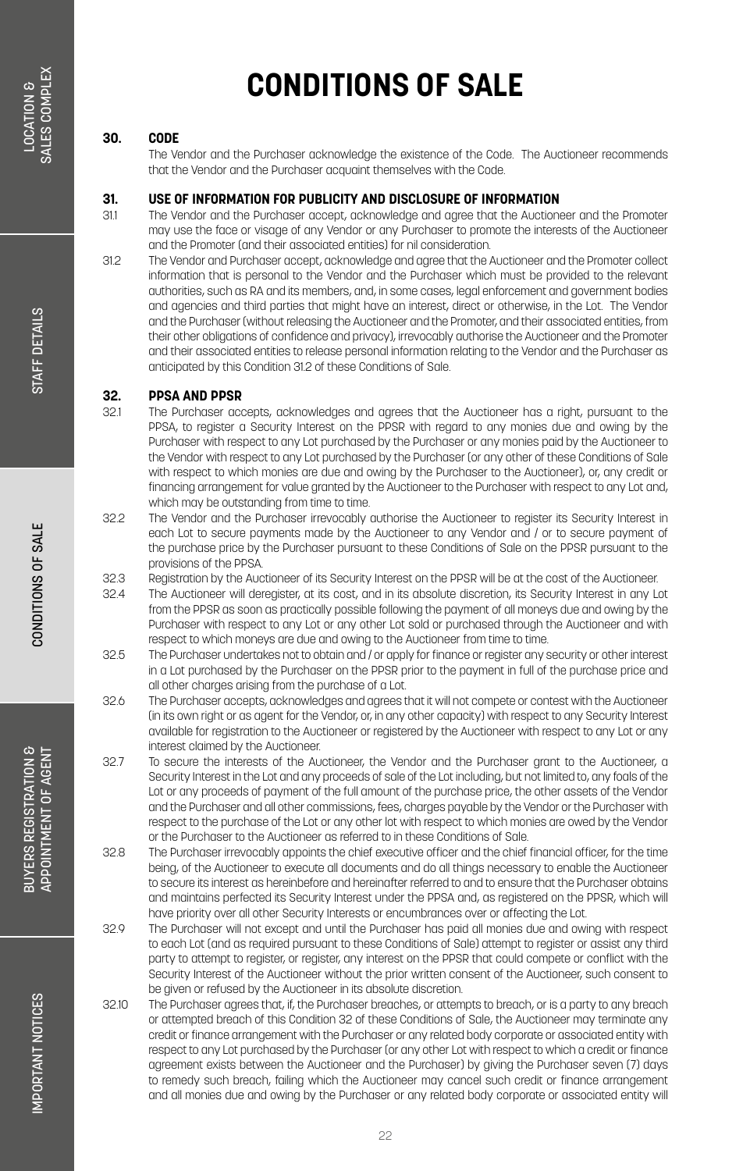#### **30. CODE**

The Vendor and the Purchaser acknowledge the existence of the Code. The Auctioneer recommends that the Vendor and the Purchaser acquaint themselves with the Code.

### **31. USE OF INFORMATION FOR PUBLICITY AND DISCLOSURE OF INFORMATION**

- The Vendor and the Purchaser accept, acknowledge and agree that the Auctioneer and the Promoter may use the face or visage of any Vendor or any Purchaser to promote the interests of the Auctioneer and the Promoter (and their associated entities) for nil consideration.
- 31.2 The Vendor and Purchaser accept, acknowledge and agree that the Auctioneer and the Promoter collect information that is personal to the Vendor and the Purchaser which must be provided to the relevant authorities, such as RA and its members, and, in some cases, legal enforcement and government bodies and agencies and third parties that might have an interest, direct or otherwise, in the Lot. The Vendor and the Purchaser (without releasing the Auctioneer and the Promoter, and their associated entities, from their other obligations of confidence and privacy), irrevocably authorise the Auctioneer and the Promoter and their associated entities to release personal information relating to the Vendor and the Purchaser as anticipated by this Condition 31.2 of these Conditions of Sale.

### **32. PPSA AND PPSR**

- The Purchaser accepts, acknowledges and agrees that the Auctioneer has a right, pursuant to the PPSA, to register a Security Interest on the PPSR with regard to any monies due and owing by the Purchaser with respect to any Lot purchased by the Purchaser or any monies paid by the Auctioneer to the Vendor with respect to any Lot purchased by the Purchaser (or any other of these Conditions of Sale with respect to which monies are due and owing by the Purchaser to the Auctioneer), or, any credit or financing arrangement for value granted by the Auctioneer to the Purchaser with respect to any Lot and, which may be outstanding from time to time.
- 32.2 The Vendor and the Purchaser irrevocably authorise the Auctioneer to register its Security Interest in each Lot to secure payments made by the Auctioneer to any Vendor and / or to secure payment of the purchase price by the Purchaser pursuant to these Conditions of Sale on the PPSR pursuant to the provisions of the PPSA.
- 32.3 Registration by the Auctioneer of its Security Interest on the PPSR will be at the cost of the Auctioneer.<br>32.4 The Auctioneer will deregister, at its cost, and in its absolute discretion, its Security Interest in any
- The Auctioneer will deregister, at its cost, and in its absolute discretion, its Security Interest in any Lot from the PPSR as soon as practically possible following the payment of all moneys due and owing by the Purchaser with respect to any Lot or any other Lot sold or purchased through the Auctioneer and with respect to which moneys are due and owing to the Auctioneer from time to time.
- 32.5 The Purchaser undertakes not to obtain and / or apply for finance or register any security or other interest in a Lot purchased by the Purchaser on the PPSR prior to the payment in full of the purchase price and all other charges arising from the purchase of a Lot.
- 32.6 The Purchaser accepts, acknowledges and agrees that it will not compete or contest with the Auctioneer (in its own right or as agent for the Vendor, or, in any other capacity) with respect to any Security Interest available for registration to the Auctioneer or registered by the Auctioneer with respect to any Lot or any interest claimed by the Auctioneer.
- 32.7 To secure the interests of the Auctioneer, the Vendor and the Purchaser grant to the Auctioneer, a Security Interest in the Lot and any proceeds of sale of the Lot including, but not limited to, any foals of the Lot or any proceeds of payment of the full amount of the purchase price, the other assets of the Vendor and the Purchaser and all other commissions, fees, charges payable by the Vendor or the Purchaser with respect to the purchase of the Lot or any other lot with respect to which monies are owed by the Vendor or the Purchaser to the Auctioneer as referred to in these Conditions of Sale.
- 32.8 The Purchaser irrevocably appoints the chief executive officer and the chief financial officer, for the time being, of the Auctioneer to execute all documents and do all things necessary to enable the Auctioneer to secure its interest as hereinbefore and hereinafter referred to and to ensure that the Purchaser obtains and maintains perfected its Security Interest under the PPSA and, as registered on the PPSR, which will have priority over all other Security Interests or encumbrances over or affecting the Lot.
- 32.9 The Purchaser will not except and until the Purchaser has paid all monies due and owing with respect to each Lot (and as required pursuant to these Conditions of Sale) attempt to register or assist any third party to attempt to register, or register, any interest on the PPSR that could compete or conflict with the Security Interest of the Auctioneer without the prior written consent of the Auctioneer, such consent to be given or refused by the Auctioneer in its absolute discretion.
- 32.10 The Purchaser agrees that, if, the Purchaser breaches, or attempts to breach, or is a party to any breach or attempted breach of this Condition 32 of these Conditions of Sale, the Auctioneer may terminate any credit or finance arrangement with the Purchaser or any related body corporate or associated entity with respect to any Lot purchased by the Purchaser (or any other Lot with respect to which a credit or finance agreement exists between the Auctioneer and the Purchaser) by giving the Purchaser seven (7) days to remedy such breach, failing which the Auctioneer may cancel such credit or finance arrangement and all monies due and owing by the Purchaser or any related body corporate or associated entity will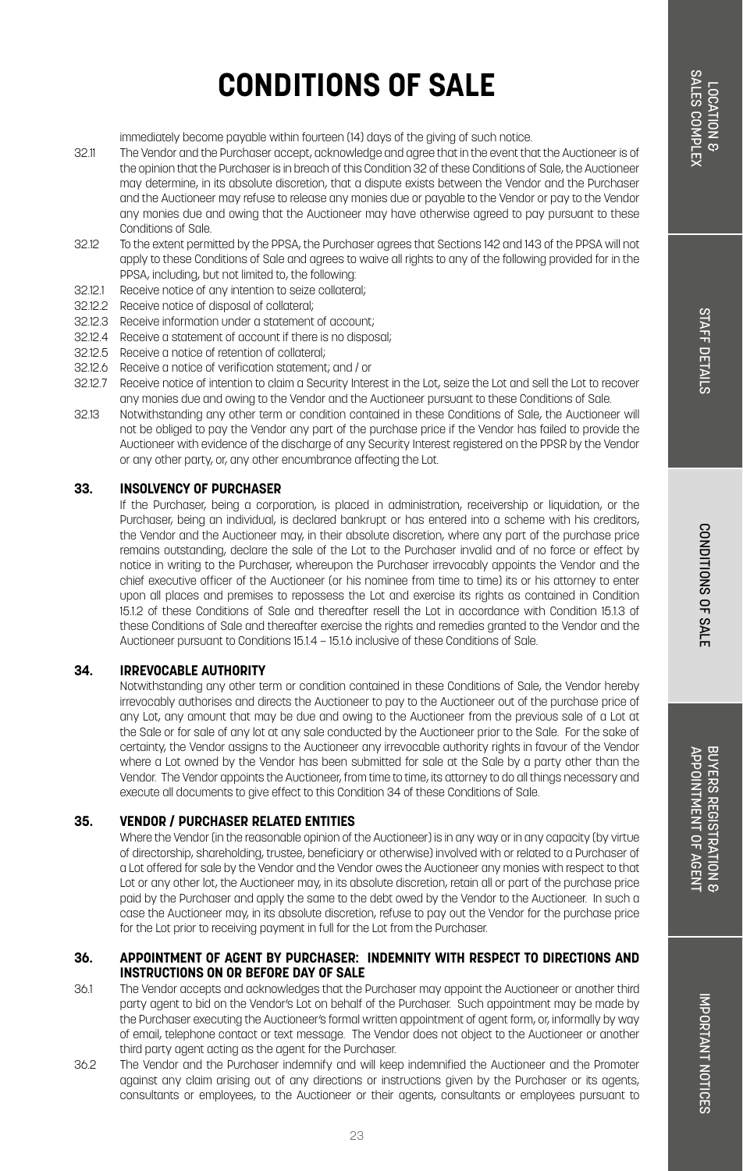immediately become payable within fourteen (14) days of the giving of such notice.

- 32.11 The Vendor and the Purchaser accept, acknowledge and agree that in the event that the Auctioneer is of the opinion that the Purchaser is in breach of this Condition 32 of these Conditions of Sale, the Auctioneer may determine, in its absolute discretion, that a dispute exists between the Vendor and the Purchaser and the Auctioneer may refuse to release any monies due or payable to the Vendor or pay to the Vendor any monies due and owing that the Auctioneer may have otherwise agreed to pay pursuant to these Conditions of Sale.
- 32.12 To the extent permitted by the PPSA, the Purchaser agrees that Sections 142 and 143 of the PPSA will not apply to these Conditions of Sale and agrees to waive all rights to any of the following provided for in the PPSA, including, but not limited to, the following:
- 32.12.1 Receive notice of any intention to seize collateral;
- 32.12.2 Receive notice of disposal of collateral;
- 32.12.3 Receive information under a statement of account;
- 32.12.4 Receive a statement of account if there is no disposal;
- 32.12.5 Receive a notice of retention of collateral;
- 32.12.6 Receive a notice of verification statement; and / or
- 32.12.7 Receive notice of intention to claim a Security Interest in the Lot, seize the Lot and sell the Lot to recover any monies due and owing to the Vendor and the Auctioneer pursuant to these Conditions of Sale.
- 32.13 Notwithstanding any other term or condition contained in these Conditions of Sale, the Auctioneer will not be obliged to pay the Vendor any part of the purchase price if the Vendor has failed to provide the Auctioneer with evidence of the discharge of any Security Interest registered on the PPSR by the Vendor or any other party, or, any other encumbrance affecting the Lot.

#### **33. INSOLVENCY OF PURCHASER**

If the Purchaser, being a corporation, is placed in administration, receivership or liquidation, or the Purchaser, being an individual, is declared bankrupt or has entered into a scheme with his creditors, the Vendor and the Auctioneer may, in their absolute discretion, where any part of the purchase price remains outstanding, declare the sale of the Lot to the Purchaser invalid and of no force or effect by notice in writing to the Purchaser, whereupon the Purchaser irrevocably appoints the Vendor and the chief executive officer of the Auctioneer (or his nominee from time to time) its or his attorney to enter upon all places and premises to repossess the Lot and exercise its rights as contained in Condition 15.1.2 of these Conditions of Sale and thereafter resell the Lot in accordance with Condition 15.1.3 of these Conditions of Sale and thereafter exercise the rights and remedies granted to the Vendor and the Auctioneer pursuant to Conditions 15.1.4 – 15.1.6 inclusive of these Conditions of Sale.

#### **34. IRREVOCABLE AUTHORITY**

Notwithstanding any other term or condition contained in these Conditions of Sale, the Vendor hereby irrevocably authorises and directs the Auctioneer to pay to the Auctioneer out of the purchase price of any Lot, any amount that may be due and owing to the Auctioneer from the previous sale of a Lot at the Sale or for sale of any lot at any sale conducted by the Auctioneer prior to the Sale. For the sake of certainty, the Vendor assigns to the Auctioneer any irrevocable authority rights in favour of the Vendor where a Lot owned by the Vendor has been submitted for sale at the Sale by a party other than the Vendor. The Vendor appoints the Auctioneer, from time to time, its attorney to do all things necessary and execute all documents to give effect to this Condition 34 of these Conditions of Sale.

#### **35. VENDOR / PURCHASER RELATED ENTITIES**

Where the Vendor (in the reasonable opinion of the Auctioneer) is in any way or in any capacity (by virtue of directorship, shareholding, trustee, beneficiary or otherwise) involved with or related to a Purchaser of a Lot offered for sale by the Vendor and the Vendor owes the Auctioneer any monies with respect to that Lot or any other lot, the Auctioneer may, in its absolute discretion, retain all or part of the purchase price paid by the Purchaser and apply the same to the debt owed by the Vendor to the Auctioneer. In such a case the Auctioneer may, in its absolute discretion, refuse to pay out the Vendor for the purchase price for the Lot prior to receiving payment in full for the Lot from the Purchaser.

#### **36. APPOINTMENT OF AGENT BY PURCHASER: INDEMNITY WITH RESPECT TO DIRECTIONS AND INSTRUCTIONS ON OR BEFORE DAY OF SALE**

- 36.1 The Vendor accepts and acknowledges that the Purchaser may appoint the Auctioneer or another third party agent to bid on the Vendor's Lot on behalf of the Purchaser. Such appointment may be made by the Purchaser executing the Auctioneer's formal written appointment of agent form, or, informally by way of email, telephone contact or text message. The Vendor does not object to the Auctioneer or another third party agent acting as the agent for the Purchaser.
- 36.2 The Vendor and the Purchaser indemnify and will keep indemnified the Auctioneer and the Promoter against any claim arising out of any directions or instructions given by the Purchaser or its agents, consultants or employees, to the Auctioneer or their agents, consultants or employees pursuant to

CONDITIONS OF SALI CONDITIONS OF SALE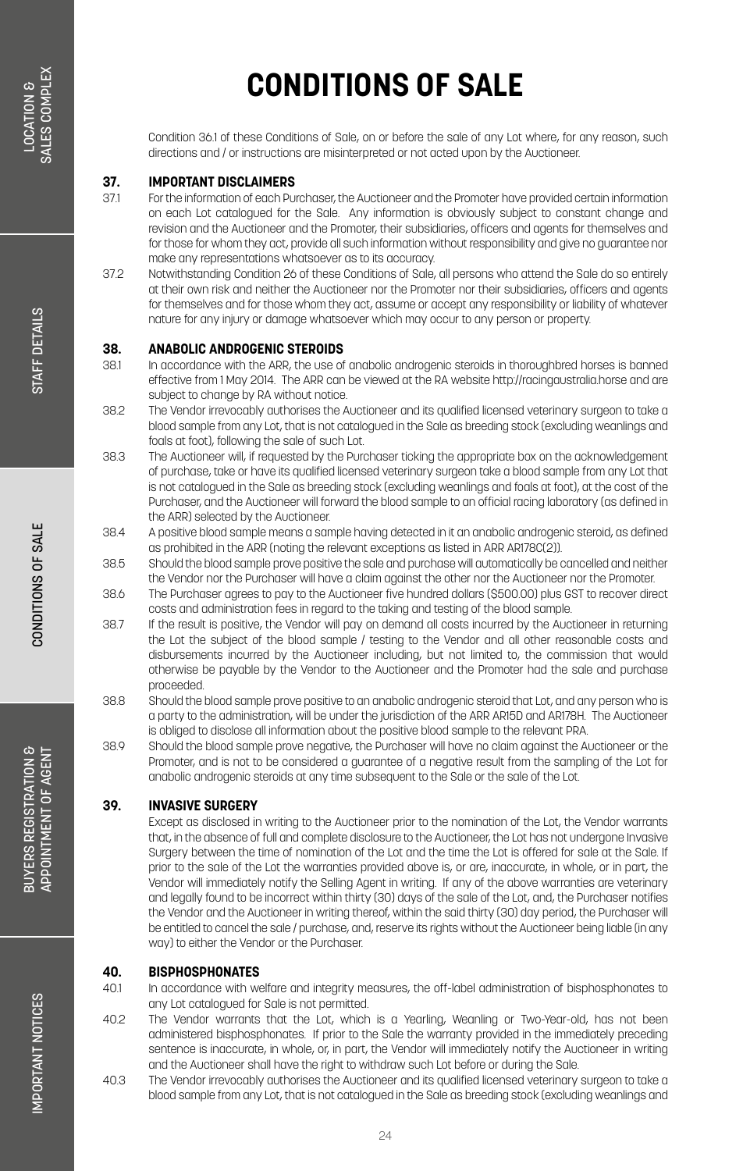Condition 36.1 of these Conditions of Sale, on or before the sale of any Lot where, for any reason, such directions and / or instructions are misinterpreted or not acted upon by the Auctioneer.

### **37. IMPORTANT DISCLAIMERS**

- 37.1 For the information of each Purchaser, the Auctioneer and the Promoter have provided certain information on each Lot catalogued for the Sale. Any information is obviously subject to constant change and revision and the Auctioneer and the Promoter, their subsidiaries, officers and agents for themselves and for those for whom they act, provide all such information without responsibility and give no guarantee nor make any representations whatsoever as to its accuracy.
- 37.2 Notwithstanding Condition 26 of these Conditions of Sale, all persons who attend the Sale do so entirely at their own risk and neither the Auctioneer nor the Promoter nor their subsidiaries, officers and agents for themselves and for those whom they act, assume or accept any responsibility or liability of whatever nature for any injury or damage whatsoever which may occur to any person or property.

### **38. ANABOLIC ANDROGENIC STEROIDS**<br>381 In accordance with the ARR, the use of

- In accordance with the ARR, the use of anabolic androgenic steroids in thoroughbred horses is banned effective from 1 May 2014. The ARR can be viewed at the RA website http://racingaustralia.horse and are subject to change by RA without notice.
- 38.2 The Vendor irrevocably authorises the Auctioneer and its qualified licensed veterinary surgeon to take a blood sample from any Lot, that is not catalogued in the Sale as breeding stock (excluding weanlings and foals at foot), following the sale of such Lot.
- 38.3 The Auctioneer will, if requested by the Purchaser ticking the appropriate box on the acknowledgement of purchase, take or have its qualified licensed veterinary surgeon take a blood sample from any Lot that is not catalogued in the Sale as breeding stock (excluding weanlings and foals at foot), at the cost of the Purchaser, and the Auctioneer will forward the blood sample to an official racing laboratory (as defined in the ARR) selected by the Auctioneer.
- 38.4 A positive blood sample means a sample having detected in it an anabolic androgenic steroid, as defined as prohibited in the ARR (noting the relevant exceptions as listed in ARR AR178C(2)).
- 38.5 Should the blood sample prove positive the sale and purchase will automatically be cancelled and neither the Vendor nor the Purchaser will have a claim against the other nor the Auctioneer nor the Promoter.
- 38.6 The Purchaser agrees to pay to the Auctioneer five hundred dollars (\$500.00) plus GST to recover direct costs and administration fees in regard to the taking and testing of the blood sample.
- 38.7 If the result is positive, the Vendor will pay on demand all costs incurred by the Auctioneer in returning the Lot the subject of the blood sample / testing to the Vendor and all other reasonable costs and disbursements incurred by the Auctioneer including, but not limited to, the commission that would otherwise be payable by the Vendor to the Auctioneer and the Promoter had the sale and purchase proceeded.
- 38.8 Should the blood sample prove positive to an anabolic androgenic steroid that Lot, and any person who is a party to the administration, will be under the jurisdiction of the ARR AR15D and AR178H. The Auctioneer is obliged to disclose all information about the positive blood sample to the relevant PRA.
- 38.9 Should the blood sample prove negative, the Purchaser will have no claim against the Auctioneer or the Promoter, and is not to be considered a guarantee of a negative result from the sampling of the Lot for anabolic androgenic steroids at any time subsequent to the Sale or the sale of the Lot.

#### **39. INVASIVE SURGERY**

Except as disclosed in writing to the Auctioneer prior to the nomination of the Lot, the Vendor warrants that, in the absence of full and complete disclosure to the Auctioneer, the Lot has not undergone Invasive Surgery between the time of nomination of the Lot and the time the Lot is offered for sale at the Sale. If prior to the sale of the Lot the warranties provided above is, or are, inaccurate, in whole, or in part, the Vendor will immediately notify the Selling Agent in writing. If any of the above warranties are veterinary and legally found to be incorrect within thirty (30) days of the sale of the Lot, and, the Purchaser notifies the Vendor and the Auctioneer in writing thereof, within the said thirty (30) day period, the Purchaser will be entitled to cancel the sale / purchase, and, reserve its rights without the Auctioneer being liable (in any way) to either the Vendor or the Purchaser.

### **40. BISPHOSPHONATES**

- In accordance with welfare and integrity measures, the off-label administration of bisphosphonates to any Lot catalogued for Sale is not permitted.
- 40.2 The Vendor warrants that the Lot, which is a Yearling, Weanling or Two-Year-old, has not been administered bisphosphonates. If prior to the Sale the warranty provided in the immediately preceding sentence is inaccurate, in whole, or, in part, the Vendor will immediately notify the Auctioneer in writing and the Auctioneer shall have the right to withdraw such Lot before or during the Sale.
- 40.3 The Vendor irrevocably authorises the Auctioneer and its qualified licensed veterinary surgeon to take a blood sample from any Lot, that is not catalogued in the Sale as breeding stock (excluding weanlings and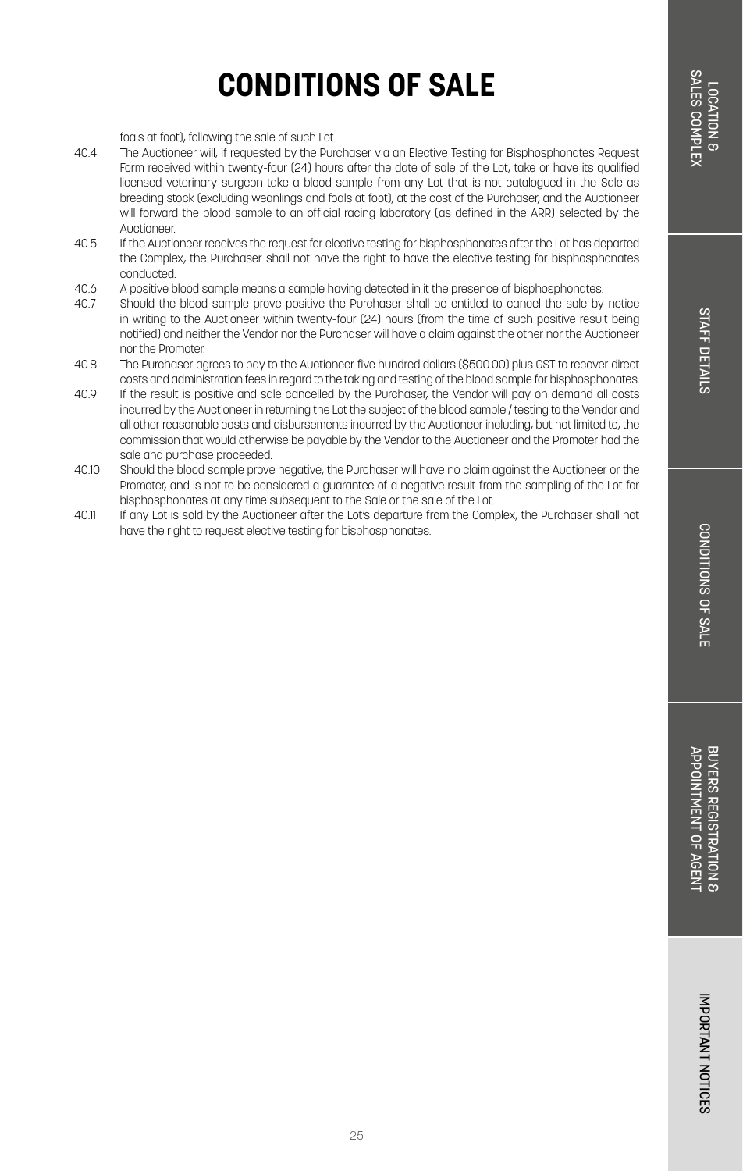# **STAFF DETAILS** STAFF DETAILS

## **CONDITIONS OF SALE**

foals at foot), following the sale of such Lot.

- 40.4 The Auctioneer will, if requested by the Purchaser via an Elective Testing for Bisphosphonates Request Form received within twenty-four (24) hours after the date of sale of the Lot, take or have its qualified licensed veterinary surgeon take a blood sample from any Lot that is not catalogued in the Sale as breeding stock (excluding weanlings and foals at foot), at the cost of the Purchaser, and the Auctioneer will forward the blood sample to an official racing laboratory (as defined in the ARR) selected by the Auctioneer.
- 40.5 If the Auctioneer receives the request for elective testing for bisphosphonates after the Lot has departed the Complex, the Purchaser shall not have the right to have the elective testing for bisphosphonates conducted.
- 40.6 A positive blood sample means a sample having detected in it the presence of bisphosphonates.<br>40.7 Should the blood sample prove positive the Durchaser shall be entitled to cancel the sale by
- 40.7 Should the blood sample prove positive the Purchaser shall be entitled to cancel the sale by notice in writing to the Auctioneer within twenty-four (24) hours (from the time of such positive result being notified) and neither the Vendor nor the Purchaser will have a claim against the other nor the Auctioneer nor the Promoter.
- 40.8 The Purchaser agrees to pay to the Auctioneer five hundred dollars (\$500.00) plus GST to recover direct costs and administration fees in regard to the taking and testing of the blood sample for bisphosphonates.
- 40.9 If the result is positive and sale cancelled by the Purchaser, the Vendor will pay on demand all costs incurred by the Auctioneer in returning the Lot the subject of the blood sample / testing to the Vendor and all other reasonable costs and disbursements incurred by the Auctioneer including, but not limited to, the commission that would otherwise be payable by the Vendor to the Auctioneer and the Promoter had the sale and purchase proceeded.
- 40.10 Should the blood sample prove negative, the Purchaser will have no claim against the Auctioneer or the Promoter, and is not to be considered a guarantee of a negative result from the sampling of the Lot for bisphosphonates at any time subsequent to the Sale or the sale of the Lot.
- 40.11 If any Lot is sold by the Auctioneer after the Lot's departure from the Complex, the Purchaser shall not have the right to request elective testing for bisphosphonates.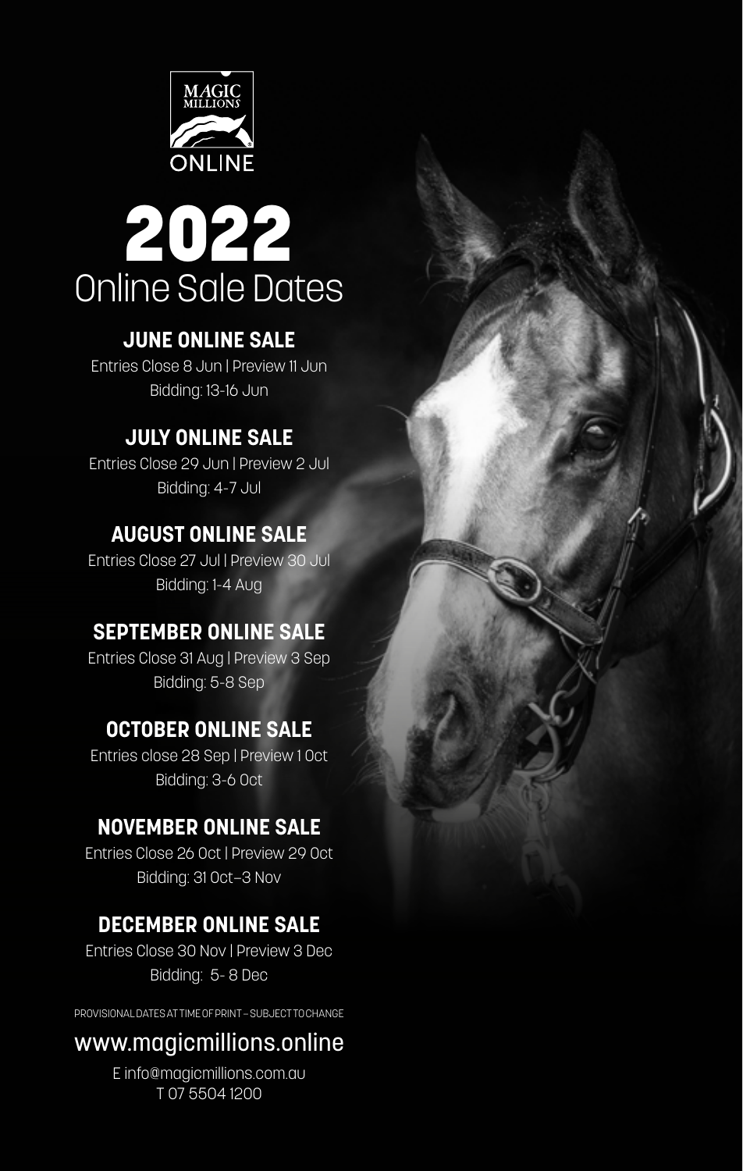



### **JUNE ONLINE SALE**

Entries Close 8 Jun | Preview 11 Jun Bidding: 13-16 Jun

### **JULY ONLINE SALE**

Entries Close 29 Jun | Preview 2 Jul Bidding: 4-7 Jul

### **AUGUST ONLINE SALE**

Entries Close 27 Jul | Preview 30 Jul Bidding: 1-4 Aug

### **SEPTEMBER ONLINE SALE**

Entries Close 31 Aug | Preview 3 Sep Bidding: 5-8 Sep

### **OCTOBER ONLINE SALE**

Entries close 28 Sep | Preview 1 Oct Bidding: 3-6 Oct

### **NOVEMBER ONLINE SALE**

Entries Close 26 Oct | Preview 29 Oct Bidding: 31 Oct–3 Nov

### **DECEMBER ONLINE SALE**

Entries Close 30 Nov | Preview 3 Dec Bidding: 5- 8 Dec

PROVISIONAL DATES AT TIME OF PRINT – SUBJECT TO CHANGE

### www.magicmillions.online

E info@magicmillions.com.au T 07 5504 1200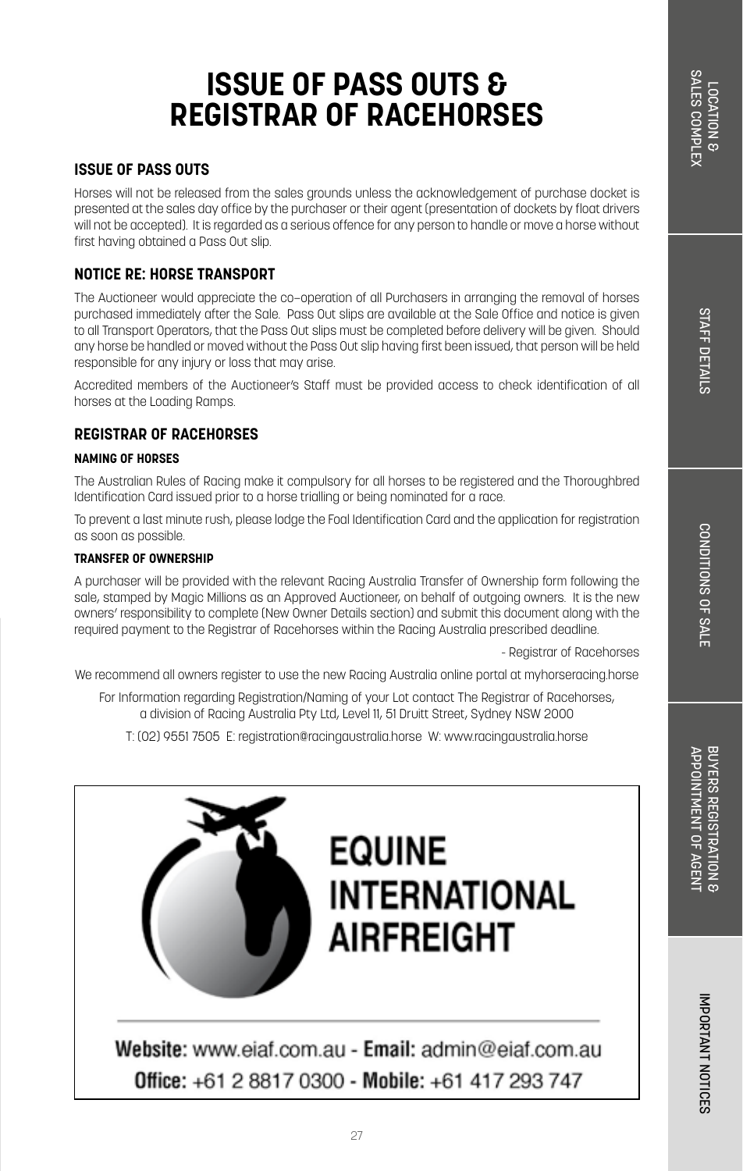#### **ISSUE OF PASS OUTS**

Horses will not be released from the sales grounds unless the acknowledgement of purchase docket is presented at the sales day office by the purchaser or their agent (presentation of dockets by float drivers will not be accepted). It is regarded as a serious offence for any person to handle or move a horse without first having obtained a Pass Out slip.

### **NOTICE RE: HORSE TRANSPORT**

The Auctioneer would appreciate the co–operation of all Purchasers in arranging the removal of horses purchased immediately after the Sale. Pass Out slips are available at the Sale Office and notice is given to all Transport Operators, that the Pass Out slips must be completed before delivery will be given. Should any horse be handled or moved without the Pass Out slip having first been issued, that person will be held responsible for any injury or loss that may arise.

Accredited members of the Auctioneer's Staff must be provided access to check identification of all horses at the Loading Ramps.

### **REGISTRAR OF RACEHORSES**

#### **NAMING OF HORSES**

The Australian Rules of Racing make it compulsory for all horses to be registered and the Thoroughbred Identification Card issued prior to a horse trialling or being nominated for a race.

To prevent a last minute rush, please lodge the Foal Identification Card and the application for registration as soon as possible.

#### **TRANSFER OF OWNERSHIP**

A purchaser will be provided with the relevant Racing Australia Transfer of Ownership form following the sale, stamped by Magic Millions as an Approved Auctioneer, on behalf of outgoing owners. It is the new owners' responsibility to complete (New Owner Details section) and submit this document along with the required payment to the Registrar of Racehorses within the Racing Australia prescribed deadline.

- Registrar of Racehorses

We recommend all owners register to use the new Racing Australia online portal at myhorseracing.horse

For Information regarding Registration/Naming of your Lot contact The Registrar of Racehorses, a division of Racing Australia Pty Ltd, Level 11, 51 Druitt Street, Sydney NSW 2000

T: (02) 9551 7505 E: registration@racingaustralia.horse W: www.racingaustralia.horse



Website: www.eiaf.com.au - Email: admin@eiaf.com.au Office: +61 2 8817 0300 - Mobile: +61 417 293 747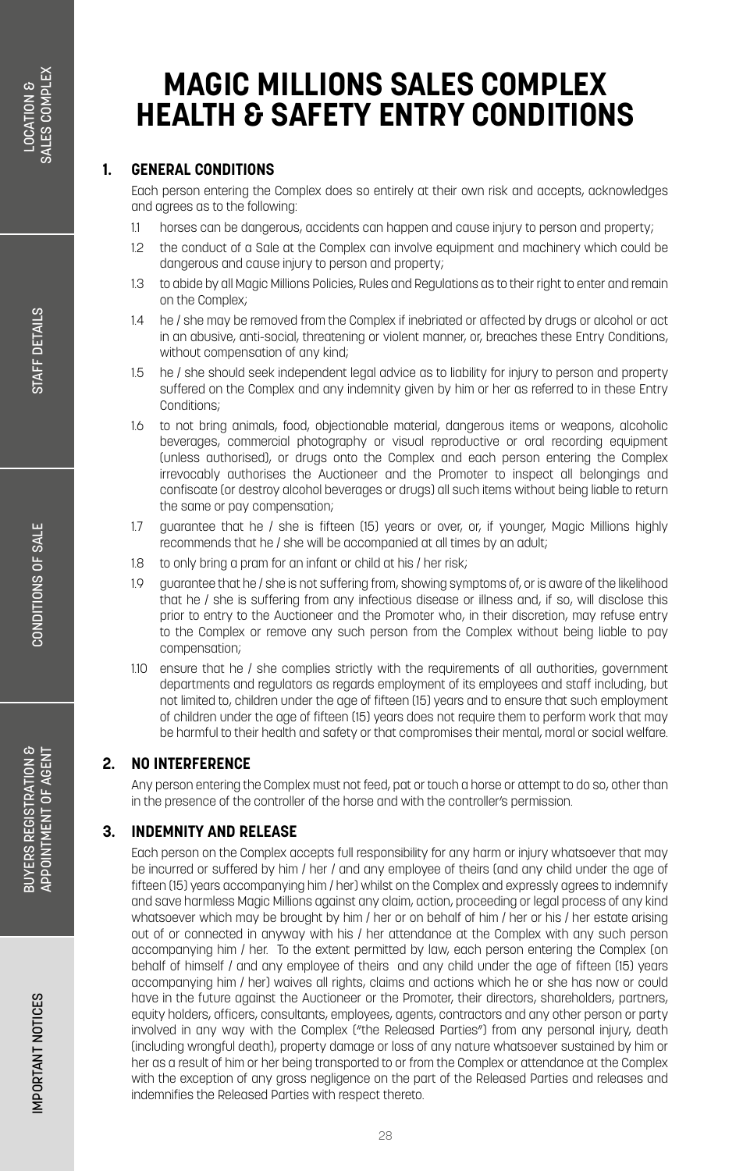## **MAGIC MILLIONS SALES COMPLEX HEALTH & SAFETY ENTRY CONDITIONS**

### **1. GENERAL CONDITIONS**

Each person entering the Complex does so entirely at their own risk and accepts, acknowledges and agrees as to the following:

- 1.1 horses can be dangerous, accidents can happen and cause injury to person and property;
- 1.2 the conduct of a Sale at the Complex can involve equipment and machinery which could be dangerous and cause injury to person and property;
- 1.3 to abide by all Magic Millions Policies, Rules and Regulations as to their right to enter and remain on the Complex;
- 1.4 he / she may be removed from the Complex if inebriated or affected by drugs or alcohol or act in an abusive, anti-social, threatening or violent manner, or, breaches these Entry Conditions, without compensation of any kind;
- 1.5 he / she should seek independent legal advice as to liability for injury to person and property suffered on the Complex and any indemnity given by him or her as referred to in these Entry Conditions;
- 1.6 to not bring animals, food, objectionable material, dangerous items or weapons, alcoholic beverages, commercial photography or visual reproductive or oral recording equipment (unless authorised), or drugs onto the Complex and each person entering the Complex irrevocably authorises the Auctioneer and the Promoter to inspect all belongings and confiscate (or destroy alcohol beverages or drugs) all such items without being liable to return the same or pay compensation;
- 1.7 guarantee that he / she is fifteen (15) years or over, or, if younger, Magic Millions highly recommends that he / she will be accompanied at all times by an adult;
- 1.8 to only bring a pram for an infant or child at his / her risk;
- 1.9 guarantee that he / she is not suffering from, showing symptoms of, or is aware of the likelihood that he / she is suffering from any infectious disease or illness and, if so, will disclose this prior to entry to the Auctioneer and the Promoter who, in their discretion, may refuse entry to the Complex or remove any such person from the Complex without being liable to pay compensation;
- 1.10 ensure that he / she complies strictly with the requirements of all authorities, government departments and regulators as regards employment of its employees and staff including, but not limited to, children under the age of fifteen (15) years and to ensure that such employment of children under the age of fifteen (15) years does not require them to perform work that may be harmful to their health and safety or that compromises their mental, moral or social welfare.

### **2. NO INTERFERENCE**

Any person entering the Complex must not feed, pat or touch a horse or attempt to do so, other than in the presence of the controller of the horse and with the controller's permission.

### **3. INDEMNITY AND RELEASE**

Each person on the Complex accepts full responsibility for any harm or injury whatsoever that may be incurred or suffered by him / her / and any employee of theirs (and any child under the age of fifteen (15) years accompanying him / her) whilst on the Complex and expressly agrees to indemnify and save harmless Magic Millions against any claim, action, proceeding or legal process of any kind whatsoever which may be brought by him / her or on behalf of him / her or his / her estate arising out of or connected in anyway with his / her attendance at the Complex with any such person accompanying him / her. To the extent permitted by law, each person entering the Complex (on behalf of himself / and any employee of theirs and any child under the age of fifteen (15) years accompanying him / her) waives all rights, claims and actions which he or she has now or could have in the future against the Auctioneer or the Promoter, their directors, shareholders, partners, equity holders, officers, consultants, employees, agents, contractors and any other person or party involved in any way with the Complex ("the Released Parties") from any personal injury, death (including wrongful death), property damage or loss of any nature whatsoever sustained by him or her as a result of him or her being transported to or from the Complex or attendance at the Complex with the exception of any gross negligence on the part of the Released Parties and releases and indemnifies the Released Parties with respect thereto.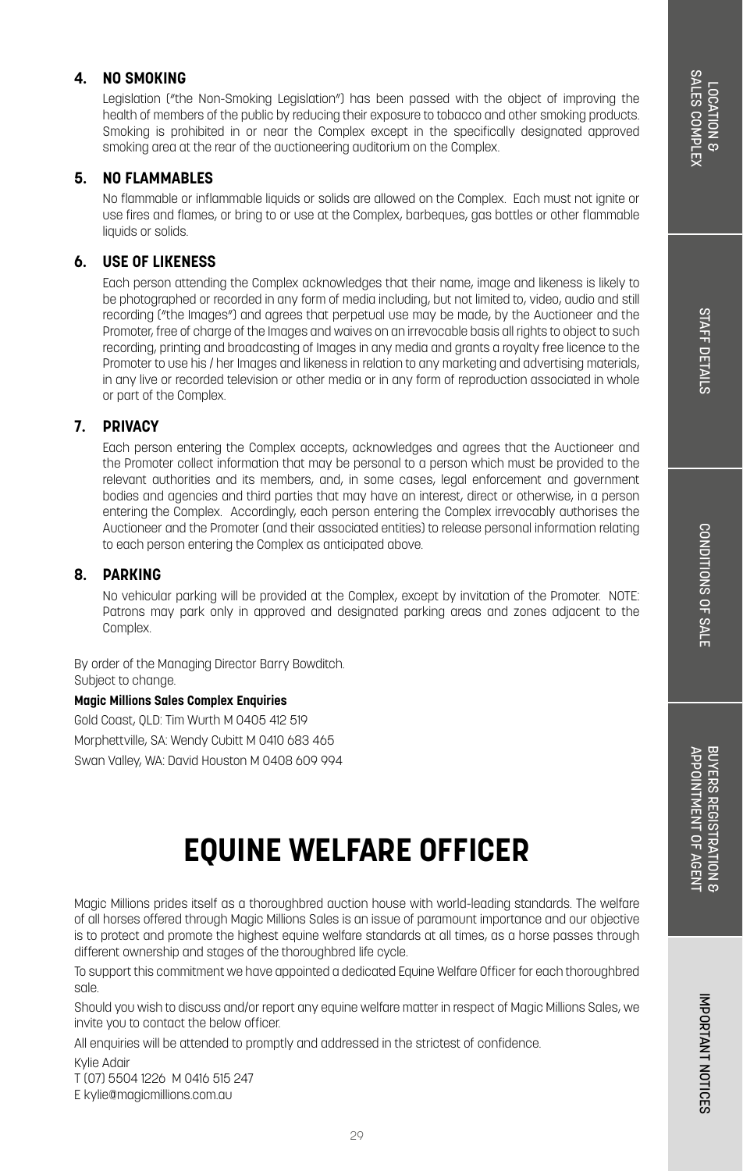CONDITIONS OF SALE

BUYERS REGISTRATION & APPOINTMENT OF AGENT

APPOINTMENT OF AGENT BUYERS REGISTRATION 8

### **4. NO SMOKING**

Legislation ("the Non-Smoking Legislation") has been passed with the object of improving the health of members of the public by reducing their exposure to tobacco and other smoking products. Smoking is prohibited in or near the Complex except in the specifically designated approved smoking area at the rear of the auctioneering auditorium on the Complex.

#### **5. NO FLAMMABLES**

No flammable or inflammable liquids or solids are allowed on the Complex. Each must not ignite or use fires and flames, or bring to or use at the Complex, barbeques, gas bottles or other flammable liquids or solids.

### **6. USE OF LIKENESS**

Each person attending the Complex acknowledges that their name, image and likeness is likely to be photographed or recorded in any form of media including, but not limited to, video, audio and still recording ("the Images") and agrees that perpetual use may be made, by the Auctioneer and the Promoter, free of charge of the Images and waives on an irrevocable basis all rights to object to such recording, printing and broadcasting of Images in any media and grants a royalty free licence to the Promoter to use his / her Images and likeness in relation to any marketing and advertising materials, in any live or recorded television or other media or in any form of reproduction associated in whole or part of the Complex.

#### **7. PRIVACY**

Each person entering the Complex accepts, acknowledges and agrees that the Auctioneer and the Promoter collect information that may be personal to a person which must be provided to the relevant authorities and its members, and, in some cases, legal enforcement and government bodies and agencies and third parties that may have an interest, direct or otherwise, in a person entering the Complex. Accordingly, each person entering the Complex irrevocably authorises the Auctioneer and the Promoter (and their associated entities) to release personal information relating to each person entering the Complex as anticipated above.

#### **8. PARKING**

No vehicular parking will be provided at the Complex, except by invitation of the Promoter. NOTE: Patrons may park only in approved and designated parking areas and zones adjacent to the Complex.

By order of the Managing Director Barry Bowditch. Subject to change.

#### **Magic Millions Sales Complex Enquiries**

Gold Coast, QLD: Tim Wurth M 0405 412 519 Morphettville, SA: Wendy Cubitt M 0410 683 465 Swan Valley, WA: David Houston M 0408 609 994

## **EQUINE WELFARE OFFICER**

Magic Millions prides itself as a thoroughbred auction house with world-leading standards. The welfare of all horses offered through Magic Millions Sales is an issue of paramount importance and our objective is to protect and promote the highest equine welfare standards at all times, as a horse passes through different ownership and stages of the thoroughbred life cycle.

To support this commitment we have appointed a dedicated Equine Welfare Officer for each thoroughbred sale.

Should you wish to discuss and/or report any equine welfare matter in respect of Magic Millions Sales, we invite you to contact the below officer.

All enquiries will be attended to promptly and addressed in the strictest of confidence.

Kylie Adair

T (07) 5504 1226 M 0416 515 247

E kylie@magicmillions.com.au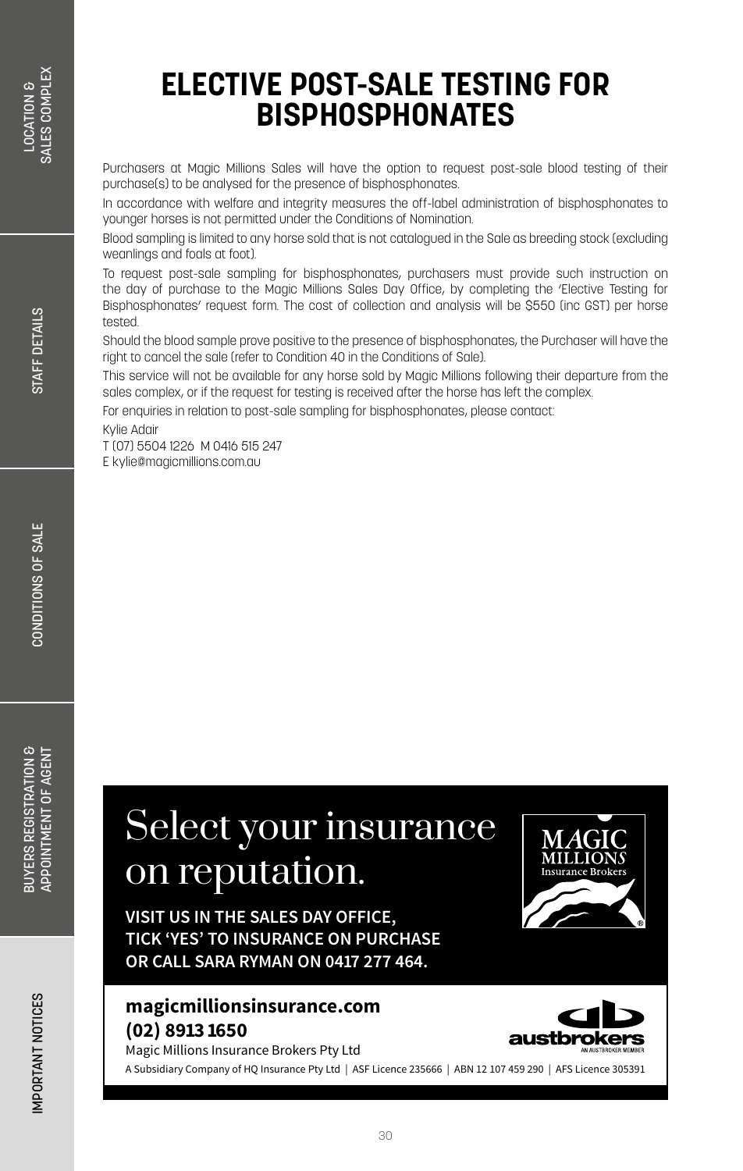Purchasers at Magic Millions Sales will have the option to request post-sale blood testing of their purchase(s) to be analysed for the presence of bisphosphonates.

In accordance with welfare and integrity measures the off-label administration of bisphosphonates to younger horses is not permitted under the Conditions of Nomination.

Blood sampling is limited to any horse sold that is not catalogued in the Sale as breeding stock (excluding weanlings and foals at foot).

To request post-sale sampling for bisphosphonates, purchasers must provide such instruction on the day of purchase to the Magic Millions Sales Day Office, by completing the 'Elective Testing for Bisphosphonates' request form. The cost of collection and analysis will be \$550 (inc GST) per horse tested.

Should the blood sample prove positive to the presence of bisphosphonates, the Purchaser will have the right to cancel the sale (refer to Condition 40 in the Conditions of Sale).

This service will not be available for any horse sold by Magic Millions following their departure from the sales complex, or if the request for testing is received after the horse has left the complex.

For enquiries in relation to post-sale sampling for bisphosphonates, please contact:

Kylie Adair

T (07) 5504 1226 M 0416 515 247 E kylie@magicmillions.com.au

# Select your insurance on reputation.

**VISIT US IN THE SALES DAY OFFICE, TICK 'YES' TO INSURANCE ON PURCHASE OR CALL SARA RYMAN ON 0417 277 464.**

### **magicmillionsinsurance.com (02) 8913 1650**

Magic Millions Insurance Brokers Pty Ltd



A Subsidiary Company of HQ Insurance Pty Ltd | ASF Licence 235666 | ABN 12 107 459 290 | AFS Licence 305391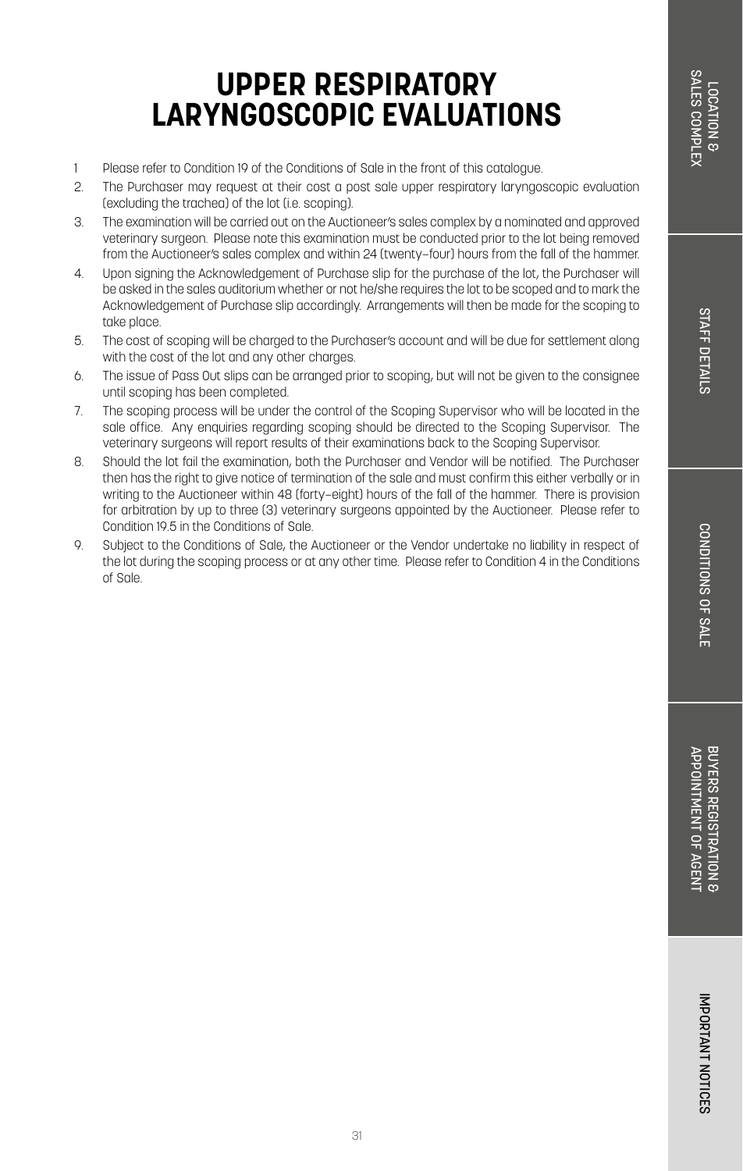CONDITIONS OF SALE

- 1 Please refer to Condition 19 of the Conditions of Sale in the front of this catalogue.
- 2. The Purchaser may request at their cost a post sale upper respiratory laryngoscopic evaluation (excluding the trachea) of the lot (i.e. scoping).
- 3. The examination will be carried out on the Auctioneer's sales complex by a nominated and approved veterinary surgeon. Please note this examination must be conducted prior to the lot being removed from the Auctioneer's sales complex and within 24 (twenty–four) hours from the fall of the hammer.
- 4. Upon signing the Acknowledgement of Purchase slip for the purchase of the lot, the Purchaser will be asked in the sales auditorium whether or not he/she requires the lot to be scoped and to mark the Acknowledgement of Purchase slip accordingly. Arrangements will then be made for the scoping to take place.
- 5. The cost of scoping will be charged to the Purchaser's account and will be due for settlement along with the cost of the lot and any other charges.
- 6. The issue of Pass Out slips can be arranged prior to scoping, but will not be given to the consignee until scoping has been completed.
- 7. The scoping process will be under the control of the Scoping Supervisor who will be located in the sale office. Any enquiries regarding scoping should be directed to the Scoping Supervisor. The veterinary surgeons will report results of their examinations back to the Scoping Supervisor.
- 8. Should the lot fail the examination, both the Purchaser and Vendor will be notified. The Purchaser then has the right to give notice of termination of the sale and must confirm this either verbally or in writing to the Auctioneer within 48 (forty–eight) hours of the fall of the hammer. There is provision for arbitration by up to three (3) veterinary surgeons appointed by the Auctioneer. Please refer to Condition 19.5 in the Conditions of Sale.
- 9. Subject to the Conditions of Sale, the Auctioneer or the Vendor undertake no liability in respect of the lot during the scoping process or at any other time. Please refer to Condition 4 in the Conditions of Sale.

BUYERS REGISTRATION & APPOINTMENT OF AGENT

APPOINTMENT OF AGENT BUYERS REGISTRATION 8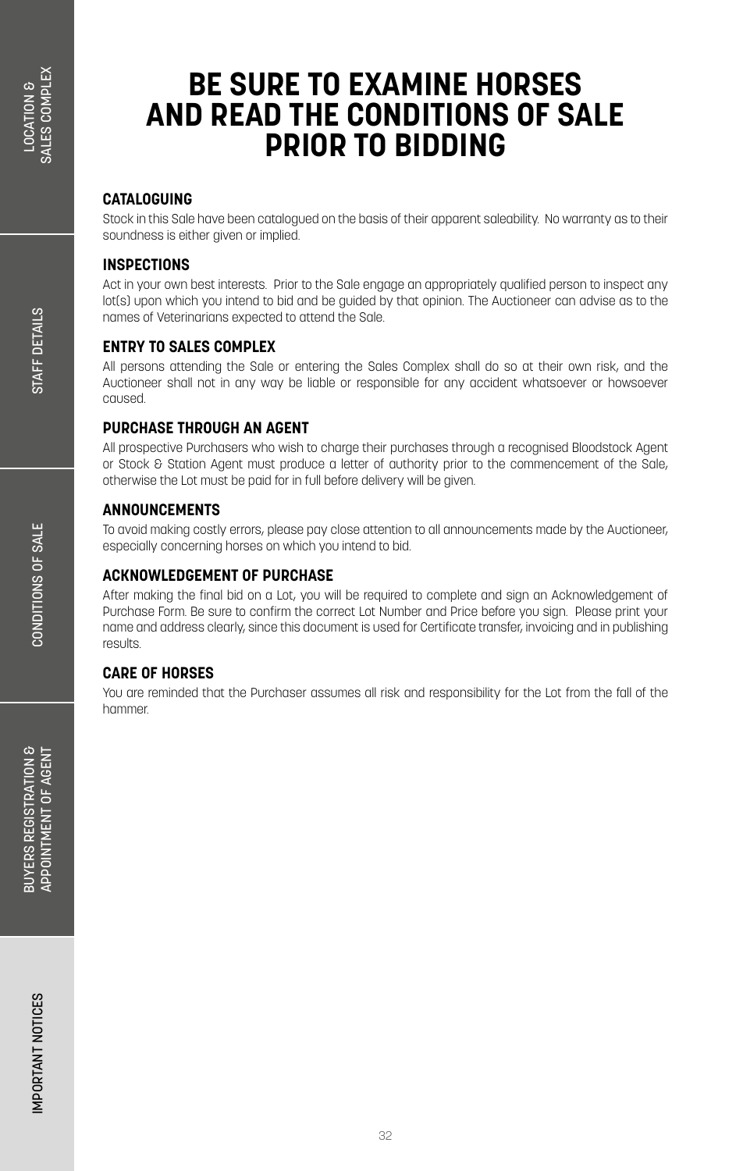### **BE SURE TO EXAMINE HORSES AND READ THE CONDITIONS OF SALE PRIOR TO BIDDING**

### **CATALOGUING**

Stock in this Sale have been catalogued on the basis of their apparent saleability. No warranty as to their soundness is either given or implied.

### **INSPECTIONS**

Act in your own best interests. Prior to the Sale engage an appropriately qualified person to inspect any lot(s) upon which you intend to bid and be guided by that opinion. The Auctioneer can advise as to the names of Veterinarians expected to attend the Sale.

### **ENTRY TO SALES COMPLEX**

All persons attending the Sale or entering the Sales Complex shall do so at their own risk, and the Auctioneer shall not in any way be liable or responsible for any accident whatsoever or howsoever caused.

### **PURCHASE THROUGH AN AGENT**

All prospective Purchasers who wish to charge their purchases through a recognised Bloodstock Agent or Stock & Station Agent must produce a letter of authority prior to the commencement of the Sale, otherwise the Lot must be paid for in full before delivery will be given.

### **ANNOUNCEMENTS**

To avoid making costly errors, please pay close attention to all announcements made by the Auctioneer, especially concerning horses on which you intend to bid.

### **ACKNOWLEDGEMENT OF PURCHASE**

After making the final bid on a Lot, you will be required to complete and sign an Acknowledgement of Purchase Form. Be sure to confirm the correct Lot Number and Price before you sign. Please print your name and address clearly, since this document is used for Certificate transfer, invoicing and in publishing results.

### **CARE OF HORSES**

You are reminded that the Purchaser assumes all risk and responsibility for the Lot from the fall of the hammer.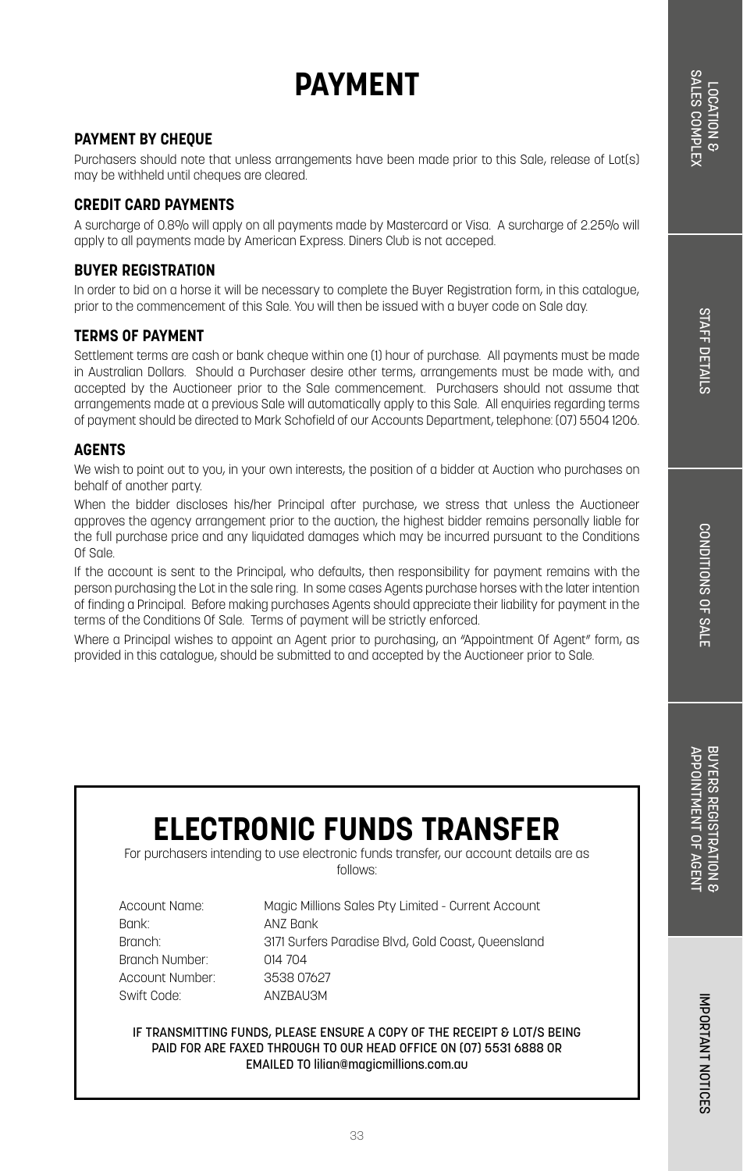# **STAFF DETAILS** STAFF DETAILS

IMPORTANT NOTICES

IMPORTANT NOTICES

## **PAYMENT**

### **PAYMENT BY CHEQUE**

Purchasers should note that unless arrangements have been made prior to this Sale, release of Lot(s) may be withheld until cheques are cleared.

#### **CREDIT CARD PAYMENTS**

A surcharge of 0.8% will apply on all payments made by Mastercard or Visa. A surcharge of 2.25% will apply to all payments made by American Express. Diners Club is not acceped.

#### **BUYER REGISTRATION**

In order to bid on a horse it will be necessary to complete the Buyer Registration form, in this catalogue, prior to the commencement of this Sale. You will then be issued with a buyer code on Sale day.

#### **TERMS OF PAYMENT**

Settlement terms are cash or bank cheque within one (1) hour of purchase. All payments must be made in Australian Dollars. Should a Purchaser desire other terms, arrangements must be made with, and accepted by the Auctioneer prior to the Sale commencement. Purchasers should not assume that arrangements made at a previous Sale will automatically apply to this Sale. All enquiries regarding terms of payment should be directed to Mark Schofield of our Accounts Department, telephone: (07) 5504 1206.

### **AGENTS**

We wish to point out to you, in your own interests, the position of a bidder at Auction who purchases on behalf of another party.

When the bidder discloses his/her Principal after purchase, we stress that unless the Auctioneer approves the agency arrangement prior to the auction, the highest bidder remains personally liable for the full purchase price and any liquidated damages which may be incurred pursuant to the Conditions Of Sale.

If the account is sent to the Principal, who defaults, then responsibility for payment remains with the person purchasing the Lot in the sale ring. In some cases Agents purchase horses with the later intention of finding a Principal. Before making purchases Agents should appreciate their liability for payment in the terms of the Conditions Of Sale. Terms of payment will be strictly enforced.

Where a Principal wishes to appoint an Agent prior to purchasing, an "Appointment Of Agent" form, as provided in this catalogue, should be submitted to and accepted by the Auctioneer prior to Sale.

## **ELECTRONIC FUNDS TRANSFER**

For purchasers intending to use electronic funds transfer, our account details are as follows:

| Account Name:   | Magic Millions Sales Pty Limited - Current Account |
|-----------------|----------------------------------------------------|
| Bank:           | AN7 Bank                                           |
| Branch:         | 3171 Surfers Paradise Blvd, Gold Coast, Queensland |
| Branch Number:  | 014 704                                            |
| Account Number: | 3538 07627                                         |
| Swift Code:     | AN7BAU3M                                           |

IF TRANSMITTING FUNDS, PLEASE ENSURE A COPY OF THE RECEIPT & LOT/S BEING PAID FOR ARE FAXED THROUGH TO OUR HEAD OFFICE ON (07) 5531 6888 OR EMAILED TO lilian@magicmillions.com.au